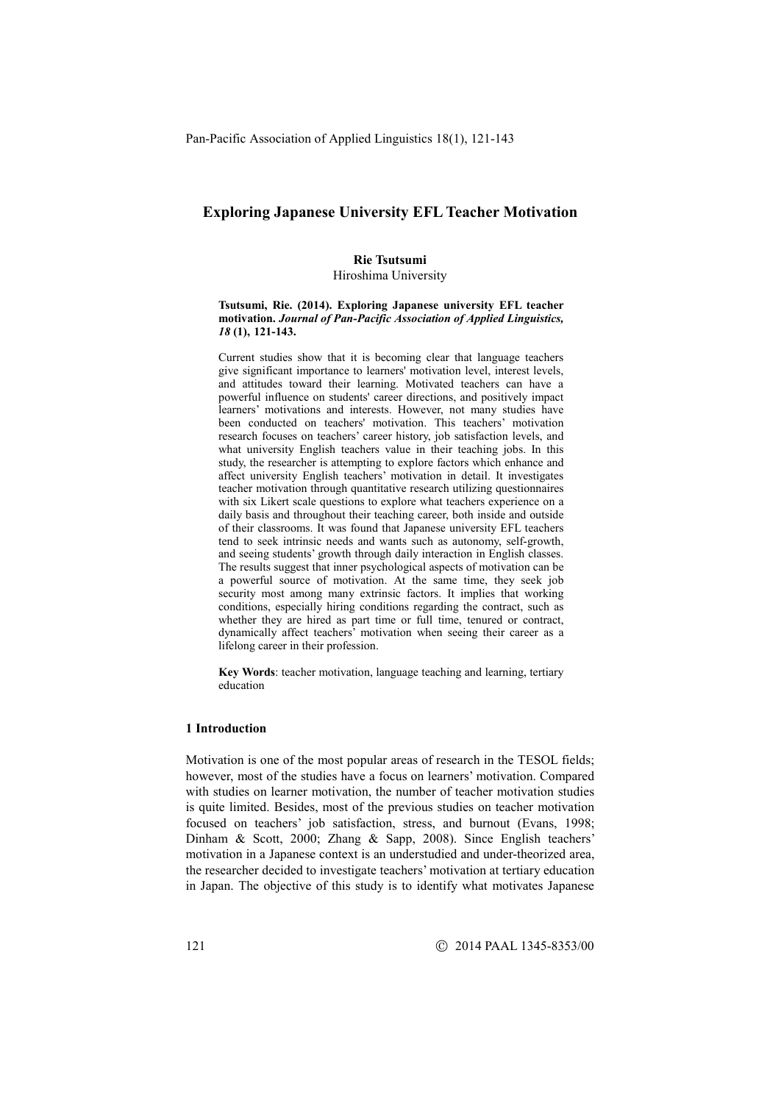# **Exploring Japanese University EFL Teacher Motivation**

### **Rie Tsutsumi**

Hiroshima University

#### **Tsutsumi, Rie. (2014). Exploring Japanese university EFL teacher motivation.** *Journal of Pan-Pacific Association of Applied Linguistics, 18* **(1), 121-143.**

Current studies show that it is becoming clear that language teachers give significant importance to learners' motivation level, interest levels, and attitudes toward their learning. Motivated teachers can have a powerful influence on students' career directions, and positively impact learners' motivations and interests. However, not many studies have been conducted on teachers' motivation. This teachers' motivation research focuses on teachers' career history, job satisfaction levels, and what university English teachers value in their teaching jobs. In this study, the researcher is attempting to explore factors which enhance and affect university English teachers' motivation in detail. It investigates teacher motivation through quantitative research utilizing questionnaires with six Likert scale questions to explore what teachers experience on a daily basis and throughout their teaching career, both inside and outside of their classrooms. It was found that Japanese university EFL teachers tend to seek intrinsic needs and wants such as autonomy, self-growth, and seeing students' growth through daily interaction in English classes. The results suggest that inner psychological aspects of motivation can be a powerful source of motivation. At the same time, they seek job security most among many extrinsic factors. It implies that working conditions, especially hiring conditions regarding the contract, such as whether they are hired as part time or full time, tenured or contract, dynamically affect teachers' motivation when seeing their career as a lifelong career in their profession.

**Key Words**: teacher motivation, language teaching and learning, tertiary education

## **1 Introduction**

Motivation is one of the most popular areas of research in the TESOL fields; however, most of the studies have a focus on learners' motivation. Compared with studies on learner motivation, the number of teacher motivation studies is quite limited. Besides, most of the previous studies on teacher motivation focused on teachers' job satisfaction, stress, and burnout (Evans, 1998; Dinham & Scott, 2000; Zhang & Sapp, 2008). Since English teachers' motivation in a Japanese context is an understudied and under-theorized area, the researcher decided to investigate teachers' motivation at tertiary education in Japan. The objective of this study is to identify what motivates Japanese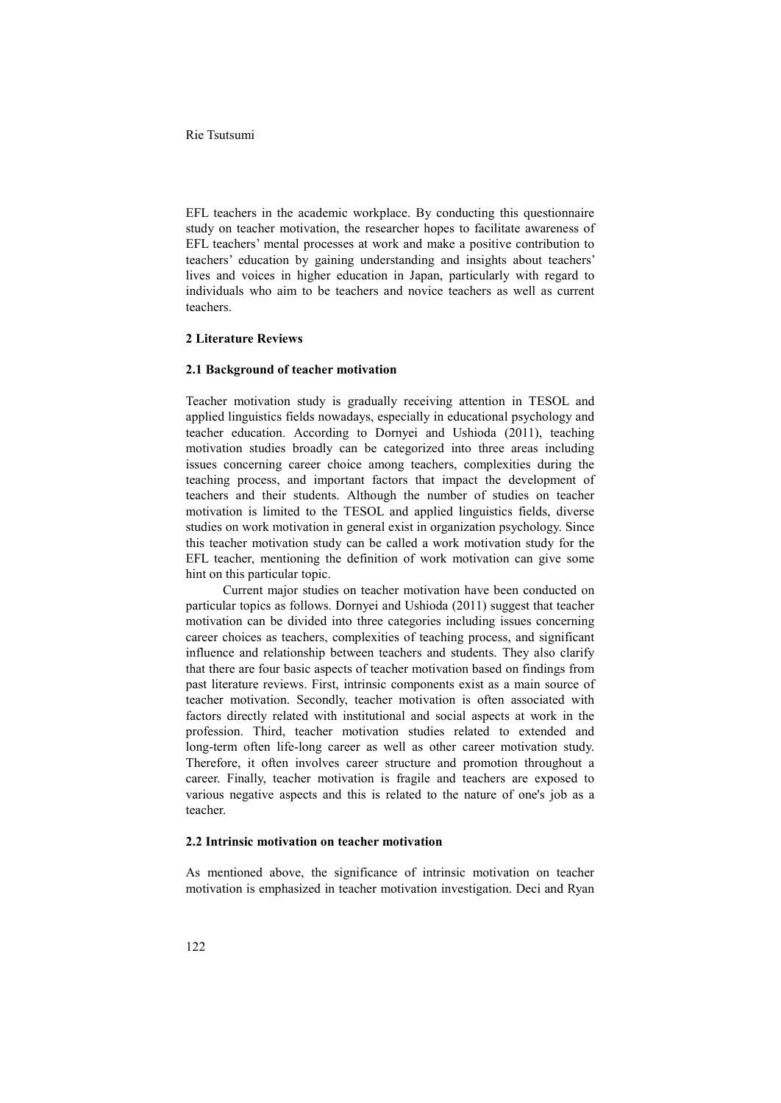EFL teachers in the academic workplace. By conducting this questionnaire study on teacher motivation, the researcher hopes to facilitate awareness of EFL teachers' mental processes at work and make a positive contribution to teachers' education by gaining understanding and insights about teachers' lives and voices in higher education in Japan, particularly with regard to individuals who aim to be teachers and novice teachers as well as current teachers.

## **2 Literature Reviews**

## **2.1 Background of teacher motivation**

Teacher motivation study is gradually receiving attention in TESOL and applied linguistics fields nowadays, especially in educational psychology and teacher education. According to Dornyei and Ushioda (2011), teaching motivation studies broadly can be categorized into three areas including issues concerning career choice among teachers, complexities during the teaching process, and important factors that impact the development of teachers and their students. Although the number of studies on teacher motivation is limited to the TESOL and applied linguistics fields, diverse studies on work motivation in general exist in organization psychology. Since this teacher motivation study can be called a work motivation study for the EFL teacher, mentioning the definition of work motivation can give some hint on this particular topic.

Current major studies on teacher motivation have been conducted on particular topics as follows. Dornyei and Ushioda (2011) suggest that teacher motivation can be divided into three categories including issues concerning career choices as teachers, complexities of teaching process, and significant influence and relationship between teachers and students. They also clarify that there are four basic aspects of teacher motivation based on findings from past literature reviews. First, intrinsic components exist as a main source of teacher motivation. Secondly, teacher motivation is often associated with factors directly related with institutional and social aspects at work in the profession. Third, teacher motivation studies related to extended and long-term often life-long career as well as other career motivation study. Therefore, it often involves career structure and promotion throughout a career. Finally, teacher motivation is fragile and teachers are exposed to various negative aspects and this is related to the nature of one's job as a teacher.

## **2.2 Intrinsic motivation on teacher motivation**

As mentioned above, the significance of intrinsic motivation on teacher motivation is emphasized in teacher motivation investigation. Deci and Ryan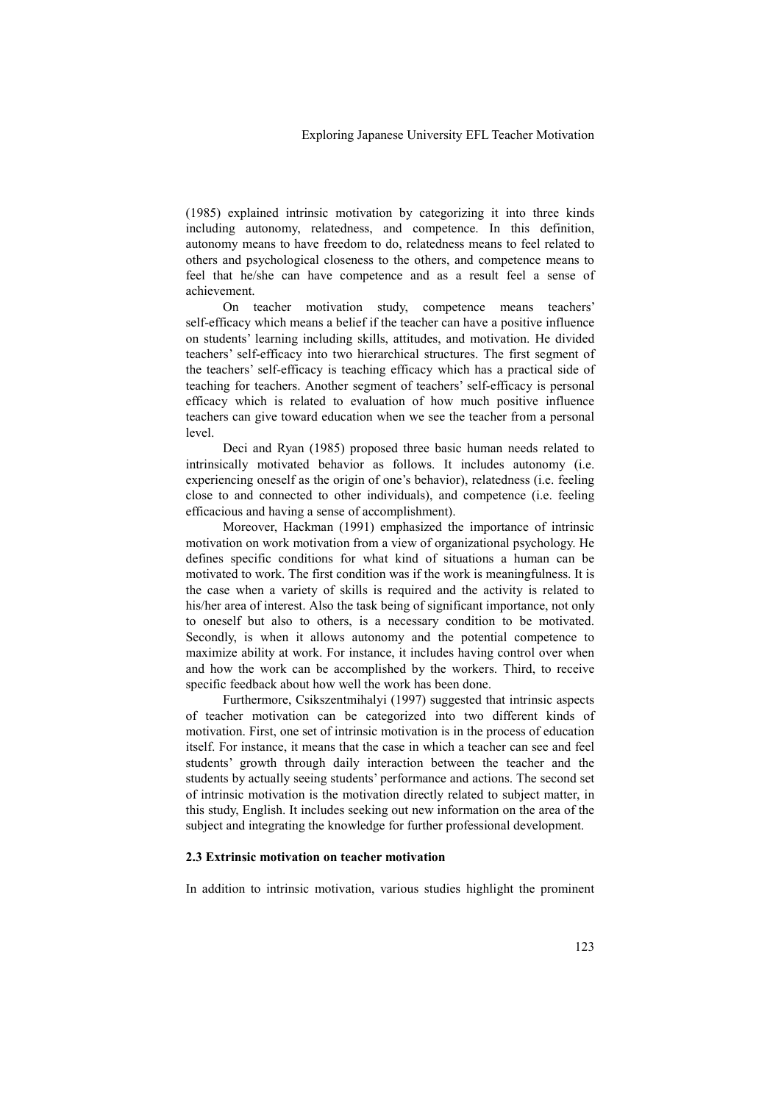(1985) explained intrinsic motivation by categorizing it into three kinds including autonomy, relatedness, and competence. In this definition, autonomy means to have freedom to do, relatedness means to feel related to others and psychological closeness to the others, and competence means to feel that he/she can have competence and as a result feel a sense of achievement.

On teacher motivation study, competence means teachers' self-efficacy which means a belief if the teacher can have a positive influence on students' learning including skills, attitudes, and motivation. He divided teachers' self-efficacy into two hierarchical structures. The first segment of the teachers' self-efficacy is teaching efficacy which has a practical side of teaching for teachers. Another segment of teachers' self-efficacy is personal efficacy which is related to evaluation of how much positive influence teachers can give toward education when we see the teacher from a personal level.

Deci and Ryan (1985) proposed three basic human needs related to intrinsically motivated behavior as follows. It includes autonomy (i.e. experiencing oneself as the origin of one's behavior), relatedness (i.e. feeling close to and connected to other individuals), and competence (i.e. feeling efficacious and having a sense of accomplishment).

Moreover, Hackman (1991) emphasized the importance of intrinsic motivation on work motivation from a view of organizational psychology. He defines specific conditions for what kind of situations a human can be motivated to work. The first condition was if the work is meaningfulness. It is the case when a variety of skills is required and the activity is related to his/her area of interest. Also the task being of significant importance, not only to oneself but also to others, is a necessary condition to be motivated. Secondly, is when it allows autonomy and the potential competence to maximize ability at work. For instance, it includes having control over when and how the work can be accomplished by the workers. Third, to receive specific feedback about how well the work has been done.

Furthermore, Csikszentmihalyi (1997) suggested that intrinsic aspects of teacher motivation can be categorized into two different kinds of motivation. First, one set of intrinsic motivation is in the process of education itself. For instance, it means that the case in which a teacher can see and feel students' growth through daily interaction between the teacher and the students by actually seeing students' performance and actions. The second set of intrinsic motivation is the motivation directly related to subject matter, in this study, English. It includes seeking out new information on the area of the subject and integrating the knowledge for further professional development.

## **2.3 Extrinsic motivation on teacher motivation**

In addition to intrinsic motivation, various studies highlight the prominent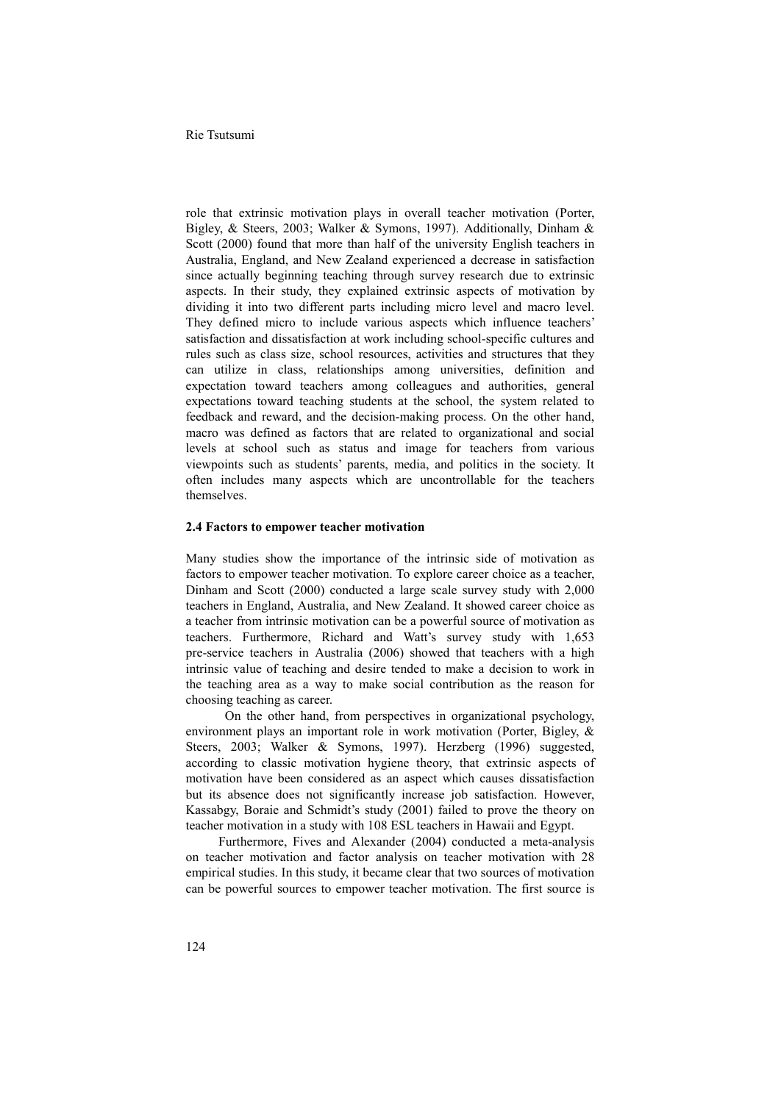role that extrinsic motivation plays in overall teacher motivation (Porter, Bigley, & Steers, 2003; Walker & Symons, 1997). Additionally, Dinham & Scott (2000) found that more than half of the university English teachers in Australia, England, and New Zealand experienced a decrease in satisfaction since actually beginning teaching through survey research due to extrinsic aspects. In their study, they explained extrinsic aspects of motivation by dividing it into two different parts including micro level and macro level. They defined micro to include various aspects which influence teachers' satisfaction and dissatisfaction at work including school-specific cultures and rules such as class size, school resources, activities and structures that they can utilize in class, relationships among universities, definition and expectation toward teachers among colleagues and authorities, general expectations toward teaching students at the school, the system related to feedback and reward, and the decision-making process. On the other hand, macro was defined as factors that are related to organizational and social levels at school such as status and image for teachers from various viewpoints such as students' parents, media, and politics in the society. It often includes many aspects which are uncontrollable for the teachers themselves.

### **2.4 Factors to empower teacher motivation**

Many studies show the importance of the intrinsic side of motivation as factors to empower teacher motivation. To explore career choice as a teacher, Dinham and Scott (2000) conducted a large scale survey study with 2,000 teachers in England, Australia, and New Zealand. It showed career choice as a teacher from intrinsic motivation can be a powerful source of motivation as teachers. Furthermore, Richard and Watt's survey study with 1,653 pre-service teachers in Australia (2006) showed that teachers with a high intrinsic value of teaching and desire tended to make a decision to work in the teaching area as a way to make social contribution as the reason for choosing teaching as career. On the other hand, from perspectives in organizational psychology,

environment plays an important role in work motivation (Porter, Bigley, & Steers, 2003; Walker & Symons, 1997). Herzberg (1996) suggested, according to classic motivation hygiene theory, that extrinsic aspects of motivation have been considered as an aspect which causes dissatisfaction but its absence does not significantly increase job satisfaction. However, Kassabgy, Boraie and Schmidt's study (2001) failed to prove the theory on teacher motivation in a study with 108 ESL teachers in Hawaii and Egypt.

Furthermore, Fives and Alexander (2004) conducted a meta-analysis on teacher motivation and factor analysis on teacher motivation with 28 empirical studies. In this study, it became clear that two sources of motivation can be powerful sources to empower teacher motivation. The first source is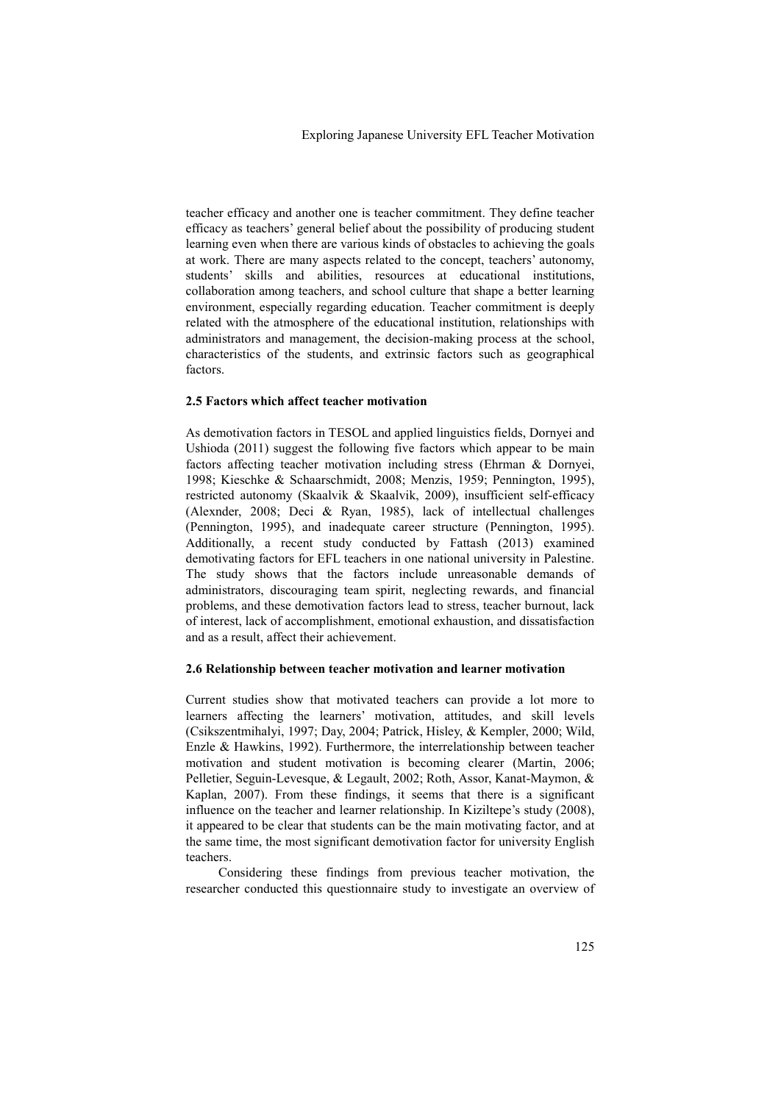teacher efficacy and another one is teacher commitment. They define teacher efficacy as teachers' general belief about the possibility of producing student learning even when there are various kinds of obstacles to achieving the goals at work. There are many aspects related to the concept, teachers' autonomy, students' skills and abilities, resources at educational institutions, collaboration among teachers, and school culture that shape a better learning environment, especially regarding education. Teacher commitment is deeply related with the atmosphere of the educational institution, relationships with administrators and management, the decision-making process at the school, characteristics of the students, and extrinsic factors such as geographical factors.

## **2.5 Factors which affect teacher motivation**

As demotivation factors in TESOL and applied linguistics fields, Dornyei and Ushioda (2011) suggest the following five factors which appear to be main factors affecting teacher motivation including stress (Ehrman & Dornyei, 1998; Kieschke & Schaarschmidt, 2008; Menzis, 1959; Pennington, 1995), restricted autonomy (Skaalvik & Skaalvik, 2009), insufficient self-efficacy (Alexnder, 2008; Deci & Ryan, 1985), lack of intellectual challenges (Pennington, 1995), and inadequate career structure (Pennington, 1995). Additionally, a recent study conducted by Fattash (2013) examined demotivating factors for EFL teachers in one national university in Palestine. The study shows that the factors include unreasonable demands of administrators, discouraging team spirit, neglecting rewards, and financial problems, and these demotivation factors lead to stress, teacher burnout, lack of interest, lack of accomplishment, emotional exhaustion, and dissatisfaction and as a result, affect their achievement.

### **2.6 Relationship between teacher motivation and learner motivation**

Current studies show that motivated teachers can provide a lot more to learners affecting the learners' motivation, attitudes, and skill levels (Csikszentmihalyi, 1997; Day, 2004; Patrick, Hisley, & Kempler, 2000; Wild, Enzle & Hawkins, 1992). Furthermore, the interrelationship between teacher motivation and student motivation is becoming clearer (Martin, 2006; Pelletier, Seguin-Levesque, & Legault, 2002; Roth, Assor, Kanat-Maymon, & Kaplan, 2007). From these findings, it seems that there is a significant influence on the teacher and learner relationship. In Kiziltepe's study (2008), it appeared to be clear that students can be the main motivating factor, and at the same time, the most significant demotivation factor for university English teachers.

Considering these findings from previous teacher motivation, the researcher conducted this questionnaire study to investigate an overview of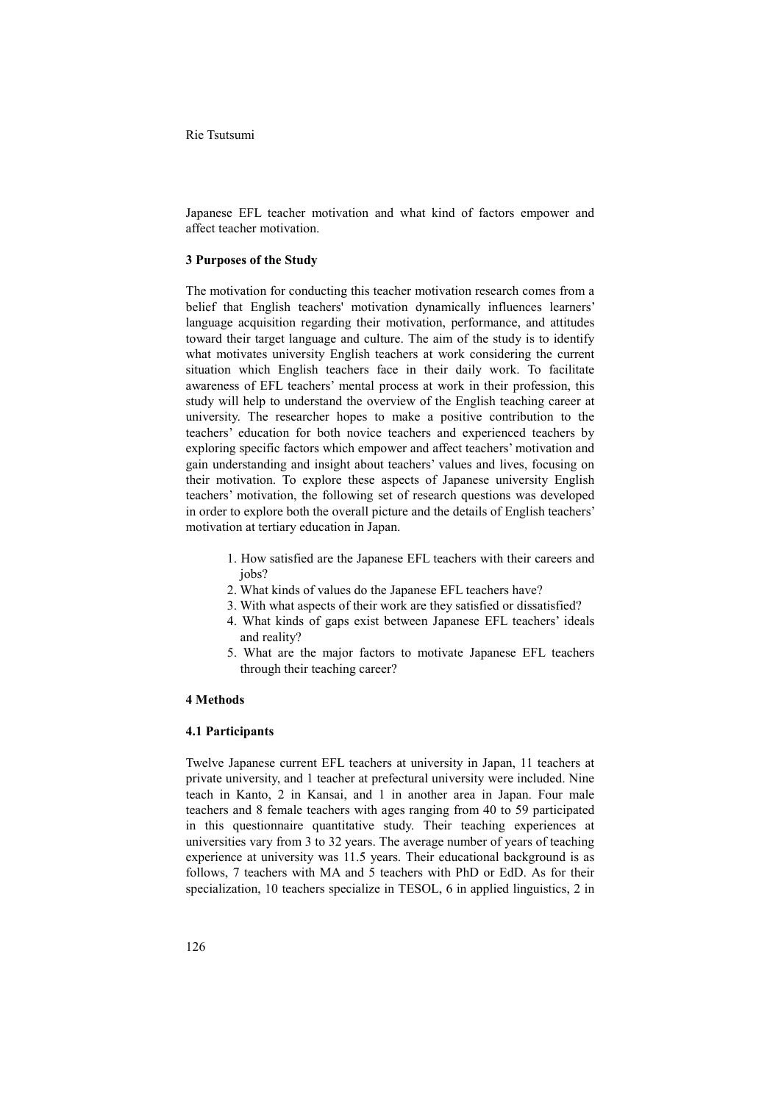Japanese EFL teacher motivation and what kind of factors empower and affect teacher motivation.

### **3 Purposes of the Study**

The motivation for conducting this teacher motivation research comes from a belief that English teachers' motivation dynamically influences learners' language acquisition regarding their motivation, performance, and attitudes toward their target language and culture. The aim of the study is to identify what motivates university English teachers at work considering the current situation which English teachers face in their daily work. To facilitate awareness of EFL teachers' mental process at work in their profession, this study will help to understand the overview of the English teaching career at university. The researcher hopes to make a positive contribution to the teachers' education for both novice teachers and experienced teachers by exploring specific factors which empower and affect teachers' motivation and gain understanding and insight about teachers' values and lives, focusing on their motivation. To explore these aspects of Japanese university English teachers' motivation, the following set of research questions was developed in order to explore both the overall picture and the details of English teachers' motivation at tertiary education in Japan.

- 1. How satisfied are the Japanese EFL teachers with their careers and iobs?
- 2. What kinds of values do the Japanese EFL teachers have?
- 3. With what aspects of their work are they satisfied or dissatisfied?
- 4. What kinds of gaps exist between Japanese EFL teachers' ideals and reality?
- 5. What are the major factors to motivate Japanese EFL teachers through their teaching career?

### **4 Methods**

#### **4.1 Participants**

Twelve Japanese current EFL teachers at university in Japan, 11 teachers at private university, and 1 teacher at prefectural university were included. Nine teach in Kanto, 2 in Kansai, and 1 in another area in Japan. Four male teachers and 8 female teachers with ages ranging from 40 to 59 participated in this questionnaire quantitative study. Their teaching experiences at universities vary from 3 to 32 years. The average number of years of teaching experience at university was 11.5 years. Their educational background is as follows, 7 teachers with MA and 5 teachers with PhD or EdD. As for their specialization, 10 teachers specialize in TESOL, 6 in applied linguistics, 2 in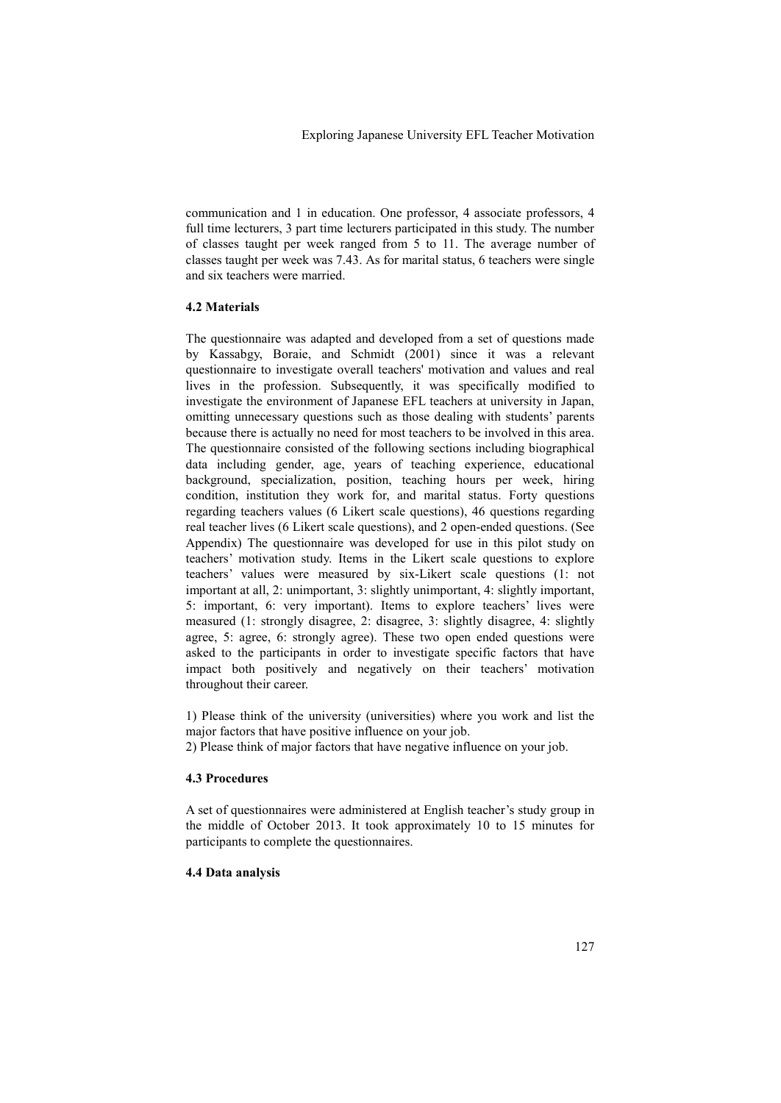communication and 1 in education. One professor, 4 associate professors, 4 full time lecturers, 3 part time lecturers participated in this study. The number of classes taught per week ranged from 5 to 11. The average number of classes taught per week was 7.43. As for marital status, 6 teachers were single and six teachers were married.

## **4.2 Materials**

The questionnaire was adapted and developed from a set of questions made by Kassabgy, Boraie, and Schmidt (2001) since it was a relevant questionnaire to investigate overall teachers' motivation and values and real lives in the profession. Subsequently, it was specifically modified to investigate the environment of Japanese EFL teachers at university in Japan, omitting unnecessary questions such as those dealing with students' parents because there is actually no need for most teachers to be involved in this area. The questionnaire consisted of the following sections including biographical data including gender, age, years of teaching experience, educational background, specialization, position, teaching hours per week, hiring condition, institution they work for, and marital status. Forty questions regarding teachers values (6 Likert scale questions), 46 questions regarding real teacher lives (6 Likert scale questions), and 2 open-ended questions. (See Appendix) The questionnaire was developed for use in this pilot study on teachers' motivation study. Items in the Likert scale questions to explore teachers' values were measured by six-Likert scale questions (1: not important at all, 2: unimportant, 3: slightly unimportant, 4: slightly important, 5: important, 6: very important). Items to explore teachers' lives were measured (1: strongly disagree, 2: disagree, 3: slightly disagree, 4: slightly agree, 5: agree, 6: strongly agree). These two open ended questions were asked to the participants in order to investigate specific factors that have impact both positively and negatively on their teachers' motivation throughout their career.

1) Please think of the university (universities) where you work and list the major factors that have positive influence on your job.

2) Please think of major factors that have negative influence on your job.

## **4.3 Procedures**

A set of questionnaires were administered at English teacher's study group in the middle of October 2013. It took approximately 10 to 15 minutes for participants to complete the questionnaires.

## **4.4 Data analysis**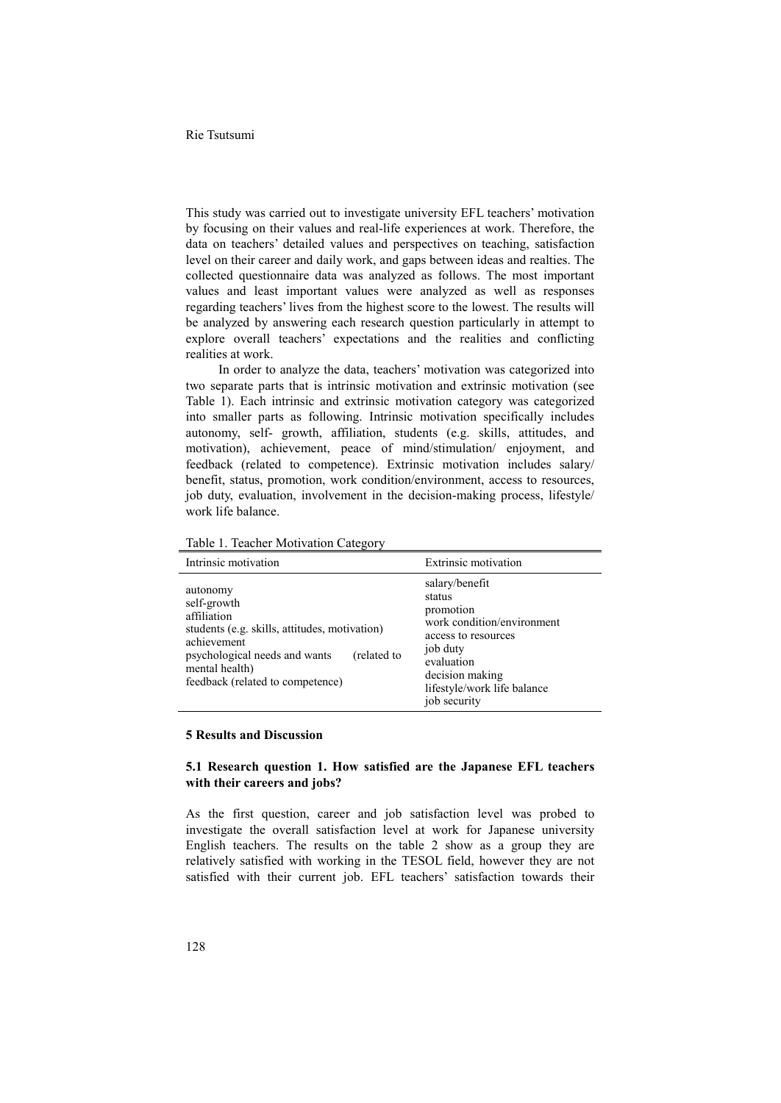This study was carried out to investigate university EFL teachers' motivation by focusing on their values and real-life experiences at work. Therefore, the data on teachers' detailed values and perspectives on teaching, satisfaction level on their career and daily work, and gaps between ideas and realties. The collected questionnaire data was analyzed as follows. The most important values and least important values were analyzed as well as responses regarding teachers' lives from the highest score to the lowest. The results will be analyzed by answering each research question particularly in attempt to explore overall teachers' expectations and the realities and conflicting realities at work.

In order to analyze the data, teachers' motivation was categorized into two separate parts that is intrinsic motivation and extrinsic motivation (see Table 1). Each intrinsic and extrinsic motivation category was categorized into smaller parts as following. Intrinsic motivation specifically includes autonomy, self- growth, affiliation, students (e.g. skills, attitudes, and motivation), achievement, peace of mind/stimulation/ enjoyment, and feedback (related to competence). Extrinsic motivation includes salary/ benefit, status, promotion, work condition/environment, access to resources, job duty, evaluation, involvement in the decision-making process, lifestyle/ work life balance.

| Intrinsic motivation                                                                                                                                                                                         | <b>Extrinsic motivation</b>                                                                                                                                                            |
|--------------------------------------------------------------------------------------------------------------------------------------------------------------------------------------------------------------|----------------------------------------------------------------------------------------------------------------------------------------------------------------------------------------|
| autonomy<br>self-growth<br>affiliation<br>students (e.g. skills, attitudes, motivation)<br>achievement<br>psychological needs and wants<br>(related to<br>mental health)<br>feedback (related to competence) | salary/benefit<br>status<br>promotion<br>work condition/environment<br>access to resources<br>job duty<br>evaluation<br>decision making<br>lifestyle/work life balance<br>job security |

Table 1. Teacher Motivation Category

#### **5 Results and Discussion**

## **5.1 Research question 1. How satisfied are the Japanese EFL teachers with their careers and jobs?**

As the first question, career and job satisfaction level was probed to investigate the overall satisfaction level at work for Japanese university English teachers. The results on the table 2 show as a group they are relatively satisfied with working in the TESOL field, however they are not satisfied with their current job. EFL teachers' satisfaction towards their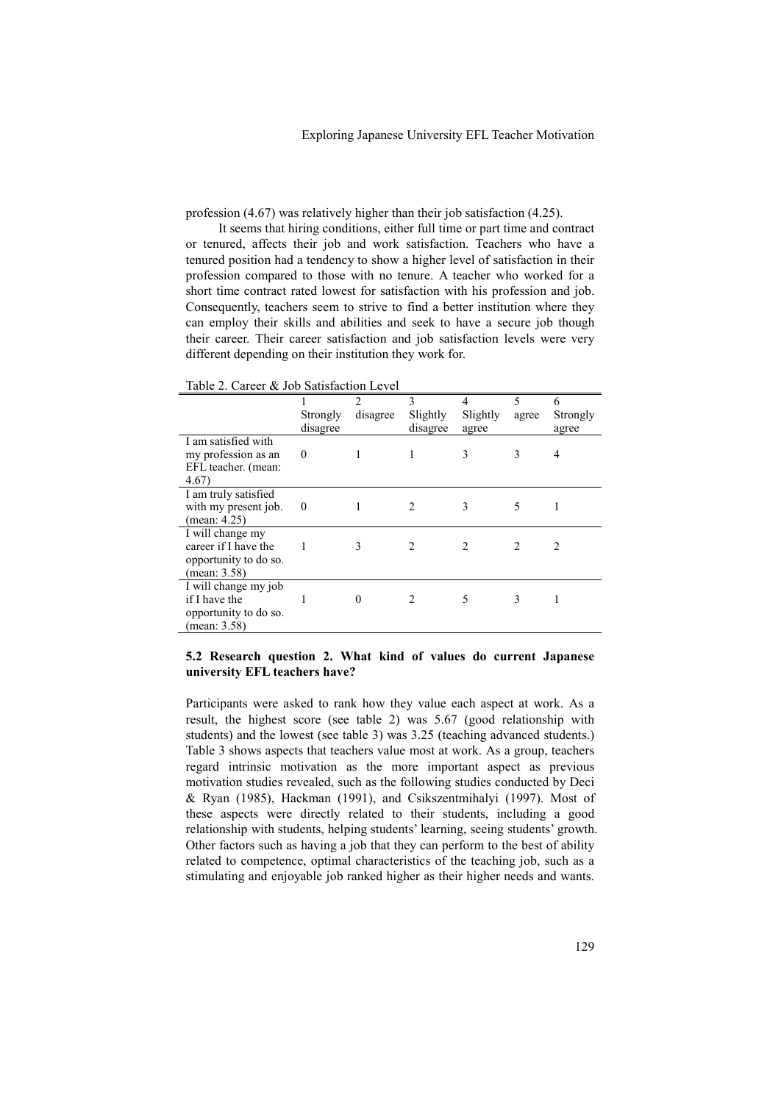profession (4.67) was relatively higher than their job satisfaction (4.25).

It seems that hiring conditions, either full time or part time and contract or tenured, affects their job and work satisfaction. Teachers who have a tenured position had a tendency to show a higher level of satisfaction in their profession compared to those with no tenure. A teacher who worked for a short time contract rated lowest for satisfaction with his profession and job. Consequently, teachers seem to strive to find a better institution where they can employ their skills and abilities and seek to have a secure job though their career. Their career satisfaction and job satisfaction levels were very different depending on their institution they work for.

| Table 2. Calcel $\alpha$ Job Sausiaction Level |                |          |                |          |                |          |
|------------------------------------------------|----------------|----------|----------------|----------|----------------|----------|
|                                                |                | 2        | 3              | 4        | 5              | 6        |
|                                                | Strongly       | disagree | Slightly       | Slightly | agree          | Strongly |
|                                                | disagree       |          | disagree       | agree    |                | agree    |
| I am satisfied with                            |                |          |                |          |                |          |
| my profession as an                            | 0              |          |                | 3        | 3              | 4        |
| EFL teacher. (mean:                            |                |          |                |          |                |          |
| 4.67)                                          |                |          |                |          |                |          |
| I am truly satisfied                           |                |          |                |          |                |          |
| with my present job.                           | $\overline{0}$ |          | $\mathfrak{D}$ | 3        | 5              |          |
| (mean: $4.25$ )                                |                |          |                |          |                |          |
| I will change my                               |                |          |                |          |                |          |
| career if I have the                           |                |          | 2              | っ        | $\mathfrak{D}$ | 2        |
| opportunity to do so.                          |                |          |                |          |                |          |
| (mean: 3.58)                                   |                |          |                |          |                |          |
| I will change my job                           |                |          |                |          |                |          |
| if I have the                                  |                | $\Omega$ | 2              | 5        | 3              |          |
| opportunity to do so.                          |                |          |                |          |                |          |
| (mean: $3.58$ )                                |                |          |                |          |                |          |

Table 2. Career & Job Satisfaction Level

### **5.2 Research question 2. What kind of values do current Japanese university EFL teachers have?**

Participants were asked to rank how they value each aspect at work. As a result, the highest score (see table 2) was 5.67 (good relationship with students) and the lowest (see table 3) was 3.25 (teaching advanced students.) Table 3 shows aspects that teachers value most at work. As a group, teachers regard intrinsic motivation as the more important aspect as previous motivation studies revealed, such as the following studies conducted by Deci & Ryan (1985), Hackman (1991), and Csikszentmihalyi (1997). Most of these aspects were directly related to their students, including a good relationship with students, helping students' learning, seeing students' growth. Other factors such as having a job that they can perform to the best of ability related to competence, optimal characteristics of the teaching job, such as a stimulating and enjoyable job ranked higher as their higher needs and wants.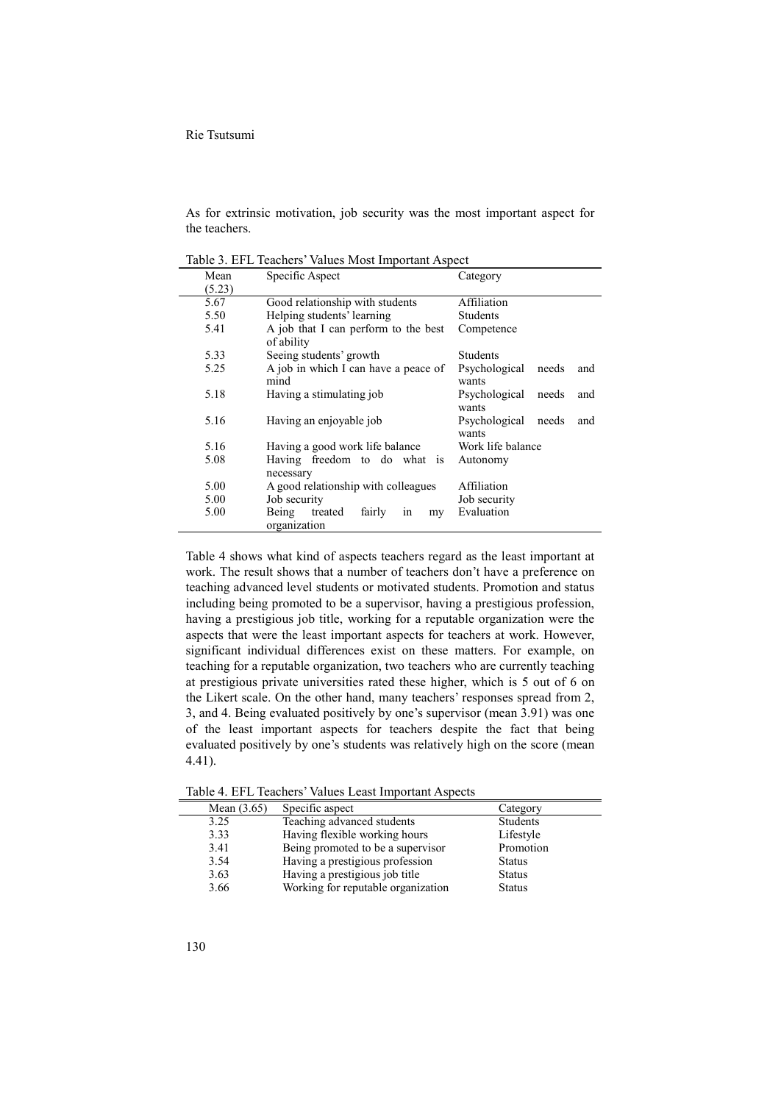#### Rie Tsutsumi

As for extrinsic motivation, job security was the most important aspect for the teachers.

| Mean   | Specific Aspect                                        | Category                               |
|--------|--------------------------------------------------------|----------------------------------------|
| (5.23) |                                                        |                                        |
| 5.67   | Good relationship with students                        | Affiliation                            |
| 5.50   | Helping students' learning                             | Students                               |
| 5.41   | A job that I can perform to the best<br>of ability     | Competence                             |
| 5.33   | Seeing students' growth                                | Students                               |
| 5.25   | A job in which I can have a peace of<br>mind           | Psychological<br>needs<br>and<br>wants |
| 5.18   | Having a stimulating job                               | Psychological<br>and<br>needs<br>wants |
| 5.16   | Having an enjoyable job                                | Psychological<br>needs<br>and<br>wants |
| 5.16   | Having a good work life balance                        | Work life balance                      |
| 5.08   | Having freedom to do what is<br>necessary              | Autonomy                               |
| 5.00   | A good relationship with colleagues                    | Affiliation                            |
| 5.00   | Job security                                           | Job security                           |
| 5.00   | fairly<br>Being<br>treated<br>1n<br>my<br>organization | Evaluation                             |

Table 3. EFL Teachers' Values Most Important Aspect

Table 4 shows what kind of aspects teachers regard as the least important at work. The result shows that a number of teachers don't have a preference on teaching advanced level students or motivated students. Promotion and status including being promoted to be a supervisor, having a prestigious profession, having a prestigious job title, working for a reputable organization were the aspects that were the least important aspects for teachers at work. However, significant individual differences exist on these matters. For example, on teaching for a reputable organization, two teachers who are currently teaching at prestigious private universities rated these higher, which is 5 out of 6 on the Likert scale. On the other hand, many teachers' responses spread from 2, 3, and 4. Being evaluated positively by one's supervisor (mean 3.91) was one of the least important aspects for teachers despite the fact that being evaluated positively by one's students was relatively high on the score (mean 4.41).

| Mean $(3.65)$ | Specific aspect                    | Category        |
|---------------|------------------------------------|-----------------|
| 3.25          | Teaching advanced students         | <b>Students</b> |
| 3.33          | Having flexible working hours      | Lifestyle       |
| 3.41          | Being promoted to be a supervisor  | Promotion       |
| 3.54          | Having a prestigious profession    | <b>Status</b>   |
| 3.63          | Having a prestigious job title     | <b>Status</b>   |
| 3.66          | Working for reputable organization | <b>Status</b>   |

Table 4. EFL Teachers' Values Least Important Aspects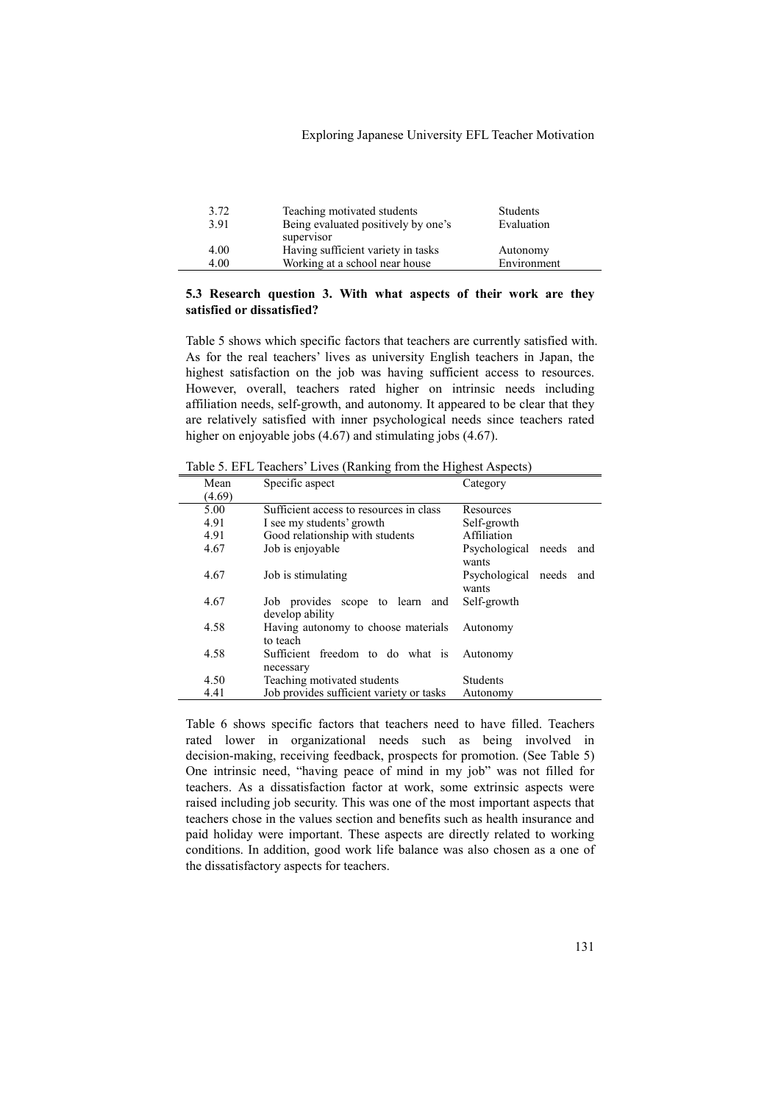### Exploring Japanese University EFL Teacher Motivation

| 3.72<br>3.91 | Teaching motivated students<br>Being evaluated positively by one's | <b>Students</b><br>Evaluation |
|--------------|--------------------------------------------------------------------|-------------------------------|
|              | supervisor                                                         |                               |
| 4.00         | Having sufficient variety in tasks                                 | Autonomy                      |
| 4.00         | Working at a school near house                                     | Environment                   |

### **5.3 Research question 3. With what aspects of their work are they satisfied or dissatisfied?**

Table 5 shows which specific factors that teachers are currently satisfied with. As for the real teachers' lives as university English teachers in Japan, the highest satisfaction on the job was having sufficient access to resources. However, overall, teachers rated higher on intrinsic needs including affiliation needs, self-growth, and autonomy. It appeared to be clear that they are relatively satisfied with inner psychological needs since teachers rated higher on enjoyable jobs (4.67) and stimulating jobs (4.67).

| Mean   | Specific aspect                                    | Category                               |
|--------|----------------------------------------------------|----------------------------------------|
| (4.69) |                                                    |                                        |
| 5.00   | Sufficient access to resources in class            | Resources                              |
| 4.91   | I see my students' growth                          | Self-growth                            |
| 4.91   | Good relationship with students                    | Affiliation                            |
| 4.67   | Job is enjoyable                                   | Psychological needs<br>and<br>wants    |
| 4.67   | Job is stimulating                                 | Psychological<br>needs<br>and<br>wants |
| 4.67   | Job provides scope to learn and<br>develop ability | Self-growth                            |
| 4.58   | Having autonomy to choose materials<br>to teach    | Autonomy                               |
| 4.58   | Sufficient freedom to do what is<br>necessary      | Autonomy                               |
| 4.50   | Teaching motivated students                        | <b>Students</b>                        |
| 4.41   | Job provides sufficient variety or tasks           | Autonomy                               |

Table 5. EFL Teachers' Lives (Ranking from the Highest Aspects)

Table 6 shows specific factors that teachers need to have filled. Teachers rated lower in organizational needs such as being involved in decision-making, receiving feedback, prospects for promotion. (See Table 5) One intrinsic need, "having peace of mind in my job" was not filled for teachers. As a dissatisfaction factor at work, some extrinsic aspects were raised including job security. This was one of the most important aspects that teachers chose in the values section and benefits such as health insurance and paid holiday were important. These aspects are directly related to working conditions. In addition, good work life balance was also chosen as a one of the dissatisfactory aspects for teachers.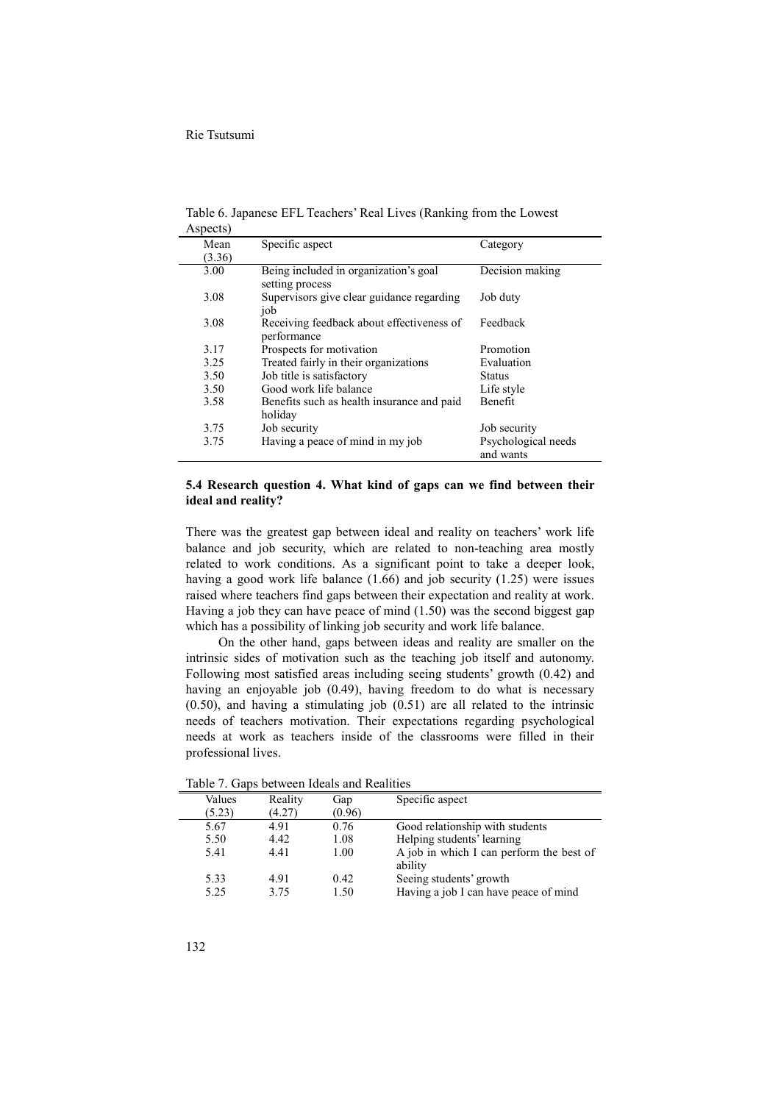| $1$ Lup vers $1$ |                                                          |                                  |
|------------------|----------------------------------------------------------|----------------------------------|
| Mean             | Specific aspect                                          | Category                         |
| (3.36)           |                                                          |                                  |
| 3.00             | Being included in organization's goal<br>setting process | Decision making                  |
| 3.08             | Supervisors give clear guidance regarding<br>job         | Job duty                         |
| 3.08             | Receiving feedback about effectiveness of<br>performance | Feedback                         |
| 3.17             | Prospects for motivation                                 | Promotion                        |
| 3.25             | Treated fairly in their organizations                    | Evaluation                       |
| 3.50             | Job title is satisfactory                                | <b>Status</b>                    |
| 3.50             | Good work life balance                                   | Life style                       |
| 3.58             | Benefits such as health insurance and paid<br>holiday    | Benefit                          |
| 3.75             | Job security                                             | Job security                     |
| 3.75             | Having a peace of mind in my job                         | Psychological needs<br>and wants |

Table 6. Japanese EFL Teachers' Real Lives (Ranking from the Lowest Aspects)

### **5.4 Research question 4. What kind of gaps can we find between their ideal and reality?**

There was the greatest gap between ideal and reality on teachers' work life balance and job security, which are related to non-teaching area mostly related to work conditions. As a significant point to take a deeper look, having a good work life balance (1.66) and job security (1.25) were issues raised where teachers find gaps between their expectation and reality at work. Having a job they can have peace of mind (1.50) was the second biggest gap which has a possibility of linking job security and work life balance.

On the other hand, gaps between ideas and reality are smaller on the intrinsic sides of motivation such as the teaching job itself and autonomy. Following most satisfied areas including seeing students' growth (0.42) and having an enjoyable job (0.49), having freedom to do what is necessary  $(0.50)$ , and having a stimulating job  $(0.51)$  are all related to the intrinsic needs of teachers motivation. Their expectations regarding psychological needs at work as teachers inside of the classrooms were filled in their professional lives.

| Values | Reality | Gap    | Specific aspect                                     |
|--------|---------|--------|-----------------------------------------------------|
| (5.23) | (4.27)  | (0.96) |                                                     |
| 5.67   | 4.91    | 0.76   | Good relationship with students                     |
| 5.50   | 4.42    | 1.08   | Helping students' learning                          |
| 5.41   | 441     | 1.00   | A job in which I can perform the best of<br>ability |
| 5.33   | 491     | 042    | Seeing students' growth                             |
| 5.25   | 3.75    | 1.50   | Having a job I can have peace of mind               |
|        |         |        |                                                     |

Table 7. Gaps between Ideals and Realities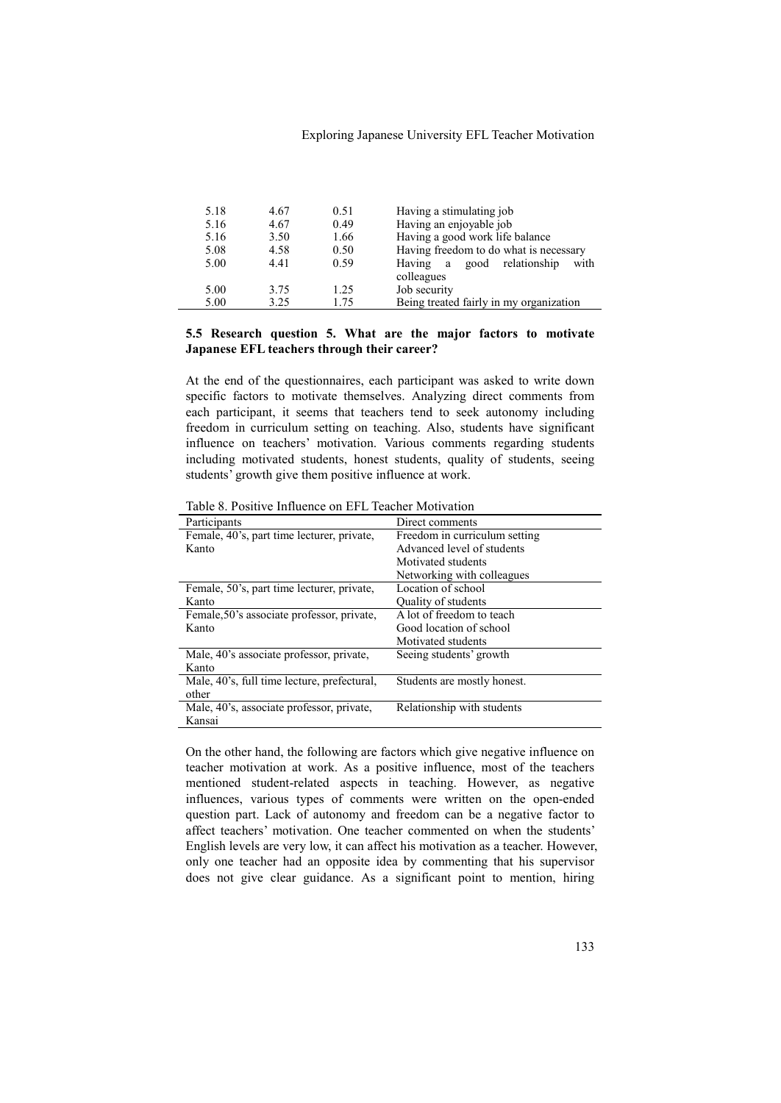### Exploring Japanese University EFL Teacher Motivation

| 5.18 | 4.67 | 0.51 | Having a stimulating job                |
|------|------|------|-----------------------------------------|
| 5.16 | 4.67 | 0.49 | Having an enjoyable job                 |
| 5.16 | 3.50 | 1.66 | Having a good work life balance         |
| 5.08 | 4.58 | 0.50 | Having freedom to do what is necessary  |
| 5.00 | 4.41 | 0.59 | good relationship<br>Having a<br>with   |
|      |      |      | colleagues                              |
| 5.00 | 3.75 | 1.25 | Job security                            |
| 5.00 | 3.25 | 1.75 | Being treated fairly in my organization |

## **5.5 Research question 5. What are the major factors to motivate Japanese EFL teachers through their career?**

At the end of the questionnaires, each participant was asked to write down specific factors to motivate themselves. Analyzing direct comments from each participant, it seems that teachers tend to seek autonomy including freedom in curriculum setting on teaching. Also, students have significant influence on teachers' motivation. Various comments regarding students including motivated students, honest students, quality of students, seeing students' growth give them positive influence at work.

| Participants                                | Direct comments               |
|---------------------------------------------|-------------------------------|
| Female, 40's, part time lecturer, private,  | Freedom in curriculum setting |
| Kanto                                       | Advanced level of students    |
|                                             | Motivated students            |
|                                             | Networking with colleagues    |
| Female, 50's, part time lecturer, private,  | Location of school            |
| Kanto                                       | Quality of students           |
| Female, 50's associate professor, private,  | A lot of freedom to teach     |
| Kanto                                       | Good location of school       |
|                                             | Motivated students            |
| Male, 40's associate professor, private,    | Seeing students' growth       |
| Kanto                                       |                               |
| Male, 40's, full time lecture, prefectural, | Students are mostly honest.   |
| other                                       |                               |
| Male, 40's, associate professor, private,   | Relationship with students    |
| Kansai                                      |                               |

Table 8. Positive Influence on EFL Teacher Motivation

On the other hand, the following are factors which give negative influence on teacher motivation at work. As a positive influence, most of the teachers mentioned student-related aspects in teaching. However, as negative influences, various types of comments were written on the open-ended question part. Lack of autonomy and freedom can be a negative factor to affect teachers' motivation. One teacher commented on when the students' English levels are very low, it can affect his motivation as a teacher. However, only one teacher had an opposite idea by commenting that his supervisor does not give clear guidance. As a significant point to mention, hiring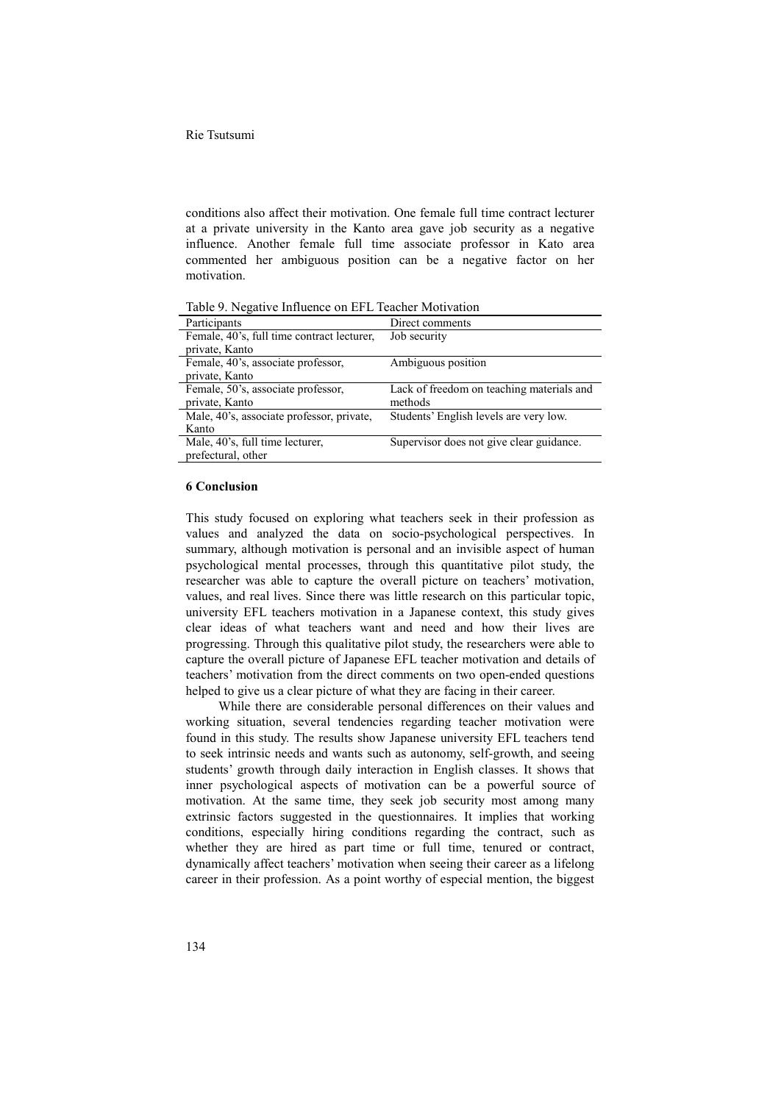conditions also affect their motivation. One female full time contract lecturer at a private university in the Kanto area gave job security as a negative influence. Another female full time associate professor in Kato area commented her ambiguous position can be a negative factor on her motivation.

| Participants                               | Direct comments                           |
|--------------------------------------------|-------------------------------------------|
| Female, 40's, full time contract lecturer, | Job security                              |
| private, Kanto                             |                                           |
| Female, 40's, associate professor,         | Ambiguous position                        |
| private, Kanto                             |                                           |
| Female, 50's, associate professor,         | Lack of freedom on teaching materials and |
| private, Kanto                             | methods                                   |
| Male, 40's, associate professor, private,  | Students' English levels are very low.    |
| Kanto                                      |                                           |
| Male, 40's, full time lecturer,            | Supervisor does not give clear guidance.  |
| prefectural, other                         |                                           |

Table 9. Negative Influence on EFL Teacher Motivation

### **6 Conclusion**

This study focused on exploring what teachers seek in their profession as values and analyzed the data on socio-psychological perspectives. In summary, although motivation is personal and an invisible aspect of human psychological mental processes, through this quantitative pilot study, the researcher was able to capture the overall picture on teachers' motivation, values, and real lives. Since there was little research on this particular topic, university EFL teachers motivation in a Japanese context, this study gives clear ideas of what teachers want and need and how their lives are progressing. Through this qualitative pilot study, the researchers were able to capture the overall picture of Japanese EFL teacher motivation and details of teachers' motivation from the direct comments on two open-ended questions helped to give us a clear picture of what they are facing in their career.

While there are considerable personal differences on their values and working situation, several tendencies regarding teacher motivation were found in this study. The results show Japanese university EFL teachers tend to seek intrinsic needs and wants such as autonomy, self-growth, and seeing students' growth through daily interaction in English classes. It shows that inner psychological aspects of motivation can be a powerful source of motivation. At the same time, they seek job security most among many extrinsic factors suggested in the questionnaires. It implies that working conditions, especially hiring conditions regarding the contract, such as whether they are hired as part time or full time, tenured or contract, dynamically affect teachers' motivation when seeing their career as a lifelong career in their profession. As a point worthy of especial mention, the biggest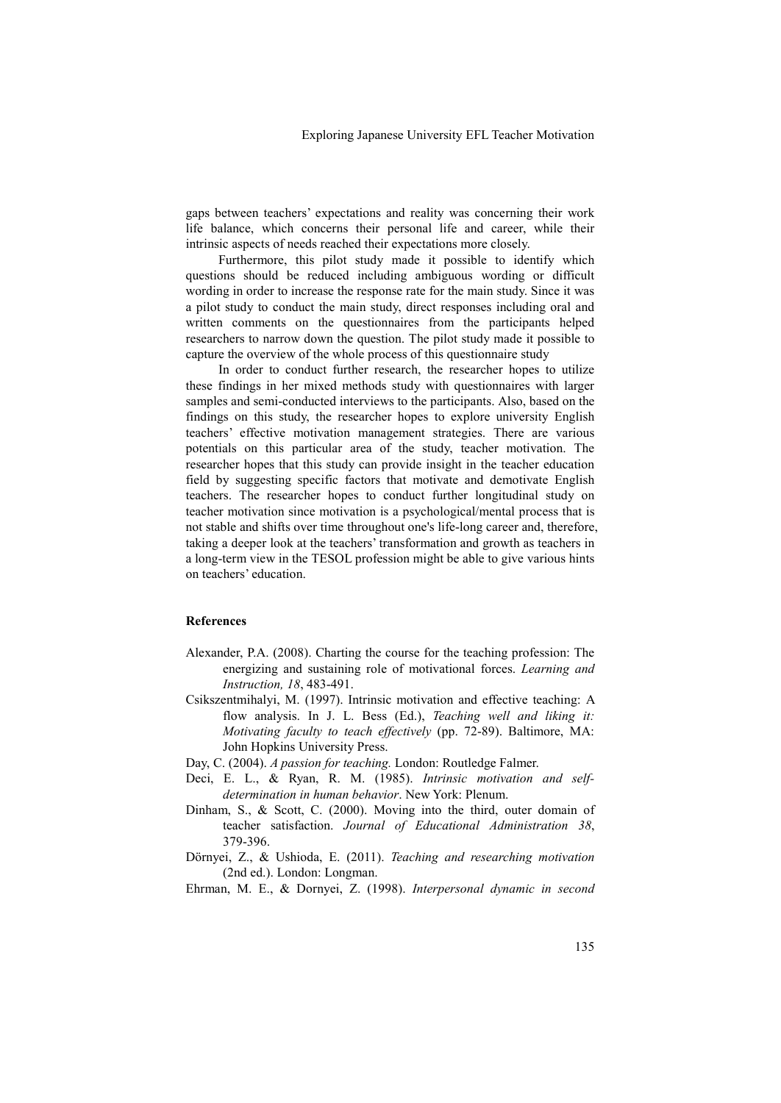gaps between teachers' expectations and reality was concerning their work life balance, which concerns their personal life and career, while their intrinsic aspects of needs reached their expectations more closely.

Furthermore, this pilot study made it possible to identify which questions should be reduced including ambiguous wording or difficult wording in order to increase the response rate for the main study. Since it was a pilot study to conduct the main study, direct responses including oral and written comments on the questionnaires from the participants helped researchers to narrow down the question. The pilot study made it possible to capture the overview of the whole process of this questionnaire study

In order to conduct further research, the researcher hopes to utilize these findings in her mixed methods study with questionnaires with larger samples and semi-conducted interviews to the participants. Also, based on the findings on this study, the researcher hopes to explore university English teachers' effective motivation management strategies. There are various potentials on this particular area of the study, teacher motivation. The researcher hopes that this study can provide insight in the teacher education field by suggesting specific factors that motivate and demotivate English teachers. The researcher hopes to conduct further longitudinal study on teacher motivation since motivation is a psychological/mental process that is not stable and shifts over time throughout one's life-long career and, therefore, taking a deeper look at the teachers' transformation and growth as teachers in a long-term view in the TESOL profession might be able to give various hints on teachers' education.

### **References**

- Alexander, P.A. (2008). Charting the course for the teaching profession: The energizing and sustaining role of motivational forces. *Learning and Instruction, 18*, 483-491.
- Csikszentmihalyi, M. (1997). Intrinsic motivation and effective teaching: A flow analysis. In J. L. Bess (Ed.), *Teaching well and liking it: Motivating faculty to teach effectively* (pp. 72-89). Baltimore, MA: John Hopkins University Press.
- Day, C. (2004). *A passion for teaching.* London: Routledge Falmer.
- Deci, E. L., & Ryan, R. M. (1985). *Intrinsic motivation and self determination in human behavior*. New York: Plenum.
- Dinham, S., & Scott, C. (2000). Moving into the third, outer domain of teacher satisfaction. *Journal of Educational Administration 38*, 379-396.
- Dörnyei, Z., & Ushioda, E. (2011). *Teaching and researching motivation* (2nd ed.). London: Longman.
- Ehrman, M. E., & Dornyei, Z. (1998). *Interpersonal dynamic in second*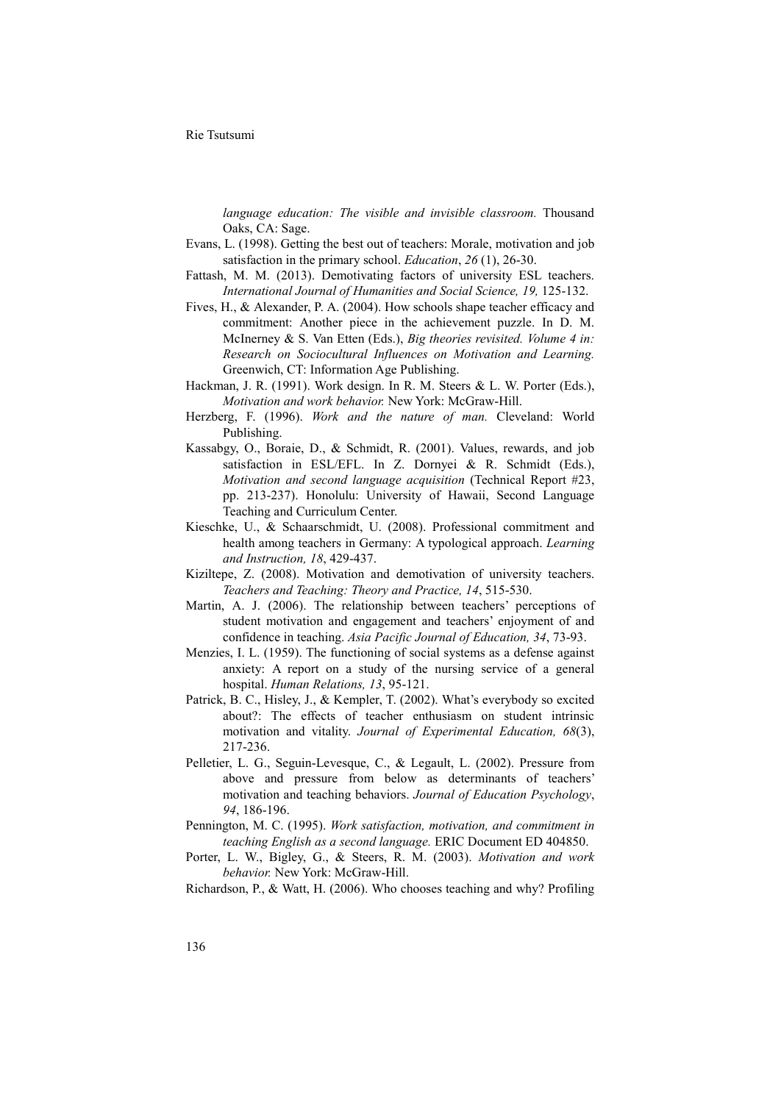*language education: The visible and invisible classroom.* Thousand Oaks, CA: Sage.

- Evans, L. (1998). Getting the best out of teachers: Morale, motivation and job satisfaction in the primary school. *Education*, *26* (1), 26-30.
- Fattash, M. M. (2013). Demotivating factors of university ESL teachers. *International Journal of Humanities and Social Science, 19,* 125-132.
- Fives, H., & Alexander, P. A. (2004). How schools shape teacher efficacy and commitment: Another piece in the achievement puzzle. In D. M. McInerney & S. Van Etten (Eds.), *Big theories revisited. Volume 4 in: Research on Sociocultural Influences on Motivation and Learning.*  Greenwich, CT: Information Age Publishing. Hackman, J. R. (1991). Work design. In R. M. Steers & L. W. Porter (Eds.),
- *Motivation and work behavior.* New York: McGraw-Hill. Herzberg, F. (1996). *Work and the nature of man.* Cleveland: World
- Publishing.
- Kassabgy, O., Boraie, D., & Schmidt, R. (2001). Values, rewards, and job satisfaction in ESL/EFL. In Z. Dornyei & R. Schmidt (Eds.), *Motivation and second language acquisition* (Technical Report #23, pp. 213-237). Honolulu: University of Hawaii, Second Language Teaching and Curriculum Center.
- Kieschke, U., & Schaarschmidt, U. (2008). Professional commitment and health among teachers in Germany: A typological approach. *Learning and Instruction, 18*, 429-437.
- Kiziltepe, Z. (2008). Motivation and demotivation of university teachers. *Teachers and Teaching: Theory and Practice, 14*, 515-530.
- Martin, A. J. (2006). The relationship between teachers' perceptions of student motivation and engagement and teachers' enjoyment of and confidence in teaching. *Asia Pacific Journal of Education, 34*, 73-93.
- Menzies, I. L. (1959). The functioning of social systems as a defense against anxiety: A report on a study of the nursing service of a general hospital. *Human Relations, 13*, 95-121.
- Patrick, B. C., Hisley, J., & Kempler, T. (2002). What's everybody so excited about?: The effects of teacher enthusiasm on student intrinsic motivation and vitality. *Journal of Experimental Education, 68*(3), 217-236.
- Pelletier, L. G., Seguin-Levesque, C., & Legault, L. (2002). Pressure from above and pressure from below as determinants of teachers' motivation and teaching behaviors. *Journal of Education Psychology*, *94*, 186-196.
- Pennington, M. C. (1995). *Work satisfaction, motivation, and commitment in teaching English as a second language.* ERIC Document ED 404850.
- Porter, L. W., Bigley, G., & Steers, R. M. (2003). *Motivation and work behavior.* New York: McGraw-Hill.
- Richardson, P., & Watt, H. (2006). Who chooses teaching and why? Profiling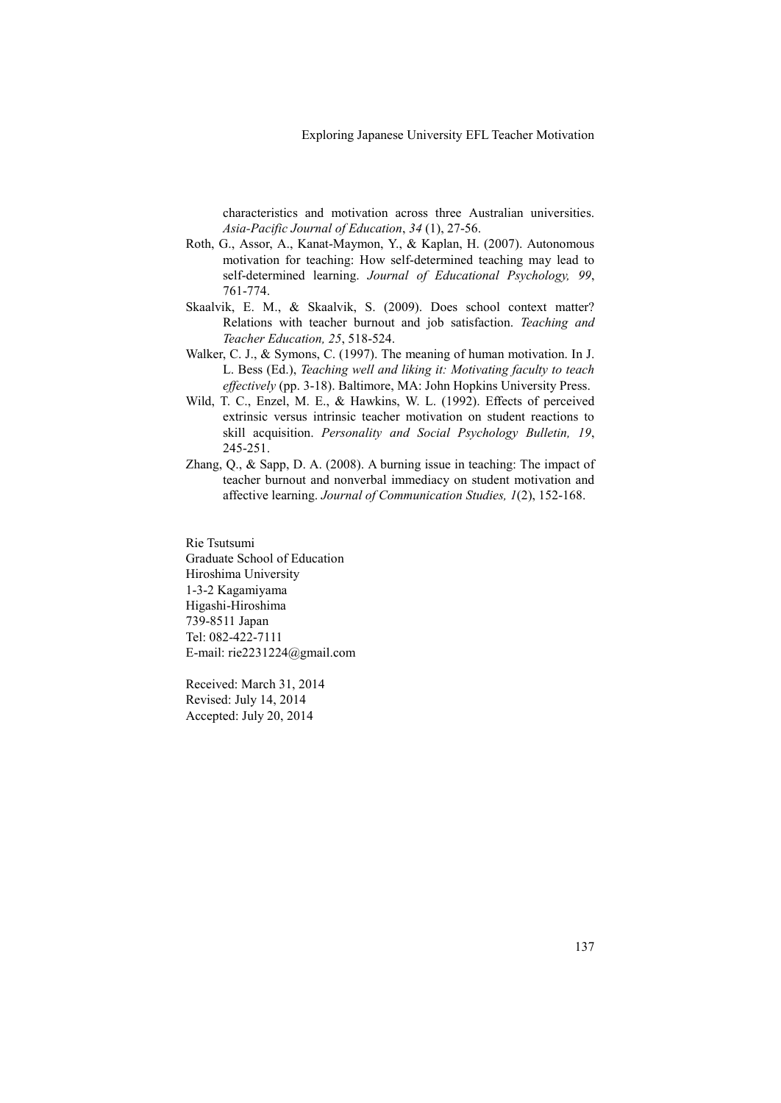characteristics and motivation across three Australian universities. *Asia-Pacific Journal of Education*, *34* (1), 27-56.

- Roth, G., Assor, A., Kanat-Maymon, Y., & Kaplan, H. (2007). Autonomous motivation for teaching: How self-determined teaching may lead to self-determined learning. *Journal of Educational Psychology, <sup>99</sup>*, 761-774. Skaalvik, E. M., & Skaalvik, S. (2009). Does school context matter?
- Relations with teacher burnout and job satisfaction. *Teaching and Teacher Education, 25*, 518-524.
- Walker, C. J., & Symons, C. (1997). The meaning of human motivation. In J. L. Bess (Ed.), *Teaching well and liking it: Motivating faculty to teach effectively* (pp. 3-18). Baltimore, MA: John Hopkins University Press. Wild, T. C., Enzel, M. E., & Hawkins, W. L. (1992). Effects of perceived
- extrinsic versus intrinsic teacher motivation on student reactions to skill acquisition. *Personality and Social Psychology Bulletin, 19*, 245-251.
- Zhang, Q., & Sapp, D. A. (2008). A burning issue in teaching: The impact of teacher burnout and nonverbal immediacy on student motivation and affective learning. *Journal of Communication Studies, 1*(2), 152-168.

Rie Tsutsumi Graduate School of Education Hiroshima University 1-3-2 Kagamiyama Higashi-Hiroshima 739-8511 Japan Tel: 082-422-7111 E-mail: rie2231224@gmail.com

Received: March 31, 2014 Revised: July 14, 2014 Accepted: July 20, 2014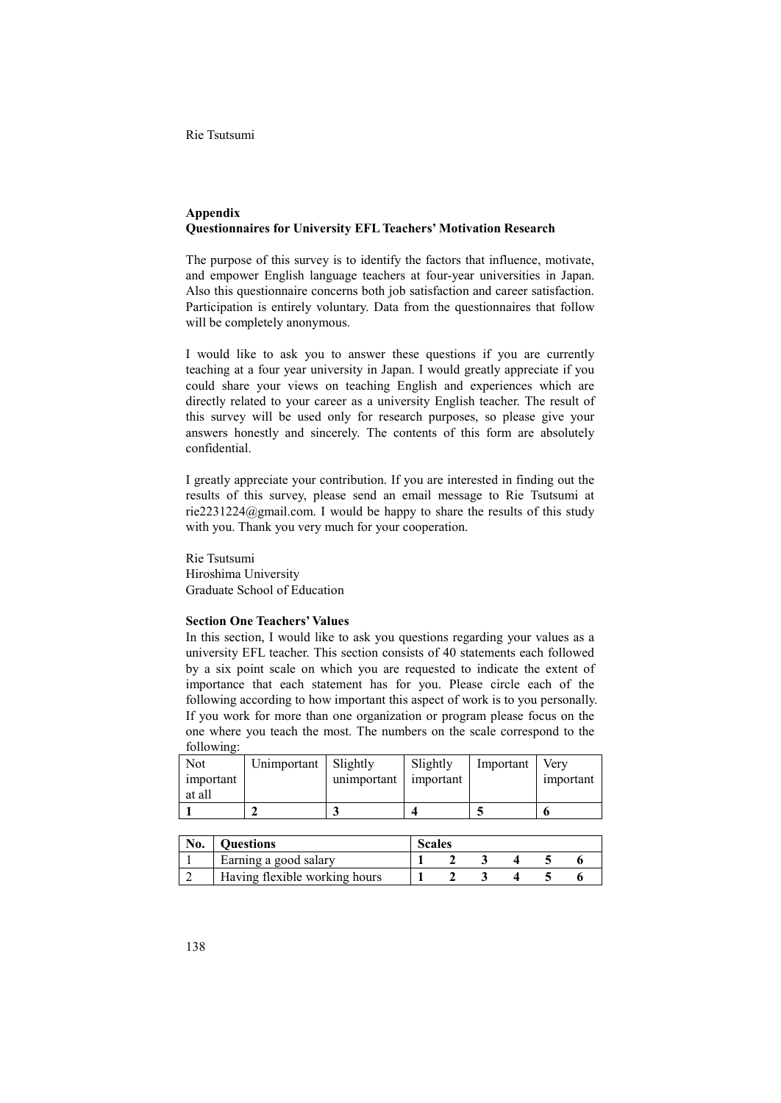# **Appendix Questionnaires for University EFL Teachers' Motivation Research**

The purpose of this survey is to identify the factors that influence, motivate, and empower English language teachers at four-year universities in Japan. Also this questionnaire concerns both job satisfaction and career satisfaction. Participation is entirely voluntary. Data from the questionnaires that follow will be completely anonymous.

I would like to ask you to answer these questions if you are currently teaching at a four year university in Japan. I would greatly appreciate if you could share your views on teaching English and experiences which are directly related to your career as a university English teacher. The result of this survey will be used only for research purposes, so please give your answers honestly and sincerely. The contents of this form are absolutely confidential.

I greatly appreciate your contribution. If you are interested in finding out the results of this survey, please send an email message to Rie Tsutsumi at rie2231224@gmail.com. I would be happy to share the results of this study with you. Thank you very much for your cooperation.

Rie Tsutsumi Hiroshima University Graduate School of Education

## **Section One Teachers' Values**

In this section, I would like to ask you questions regarding your values as a university EFL teacher. This section consists of 40 statements each followed by a six point scale on which you are requested to indicate the extent of importance that each statement has for you. Please circle each of the following according to how important this aspect of work is to you personally. If you work for more than one organization or program please focus on the one where you teach the most. The numbers on the scale correspond to the following:

| Not<br>important<br>at all | Unimportant | Slightly<br>unimportant | Slightly<br>important | Important | Verv<br>important |
|----------------------------|-------------|-------------------------|-----------------------|-----------|-------------------|
|                            |             |                         |                       |           |                   |

| No. | <b>Ouestions</b>              | Scales |  |  |  |
|-----|-------------------------------|--------|--|--|--|
|     | Earning a good salary         |        |  |  |  |
|     | Having flexible working hours |        |  |  |  |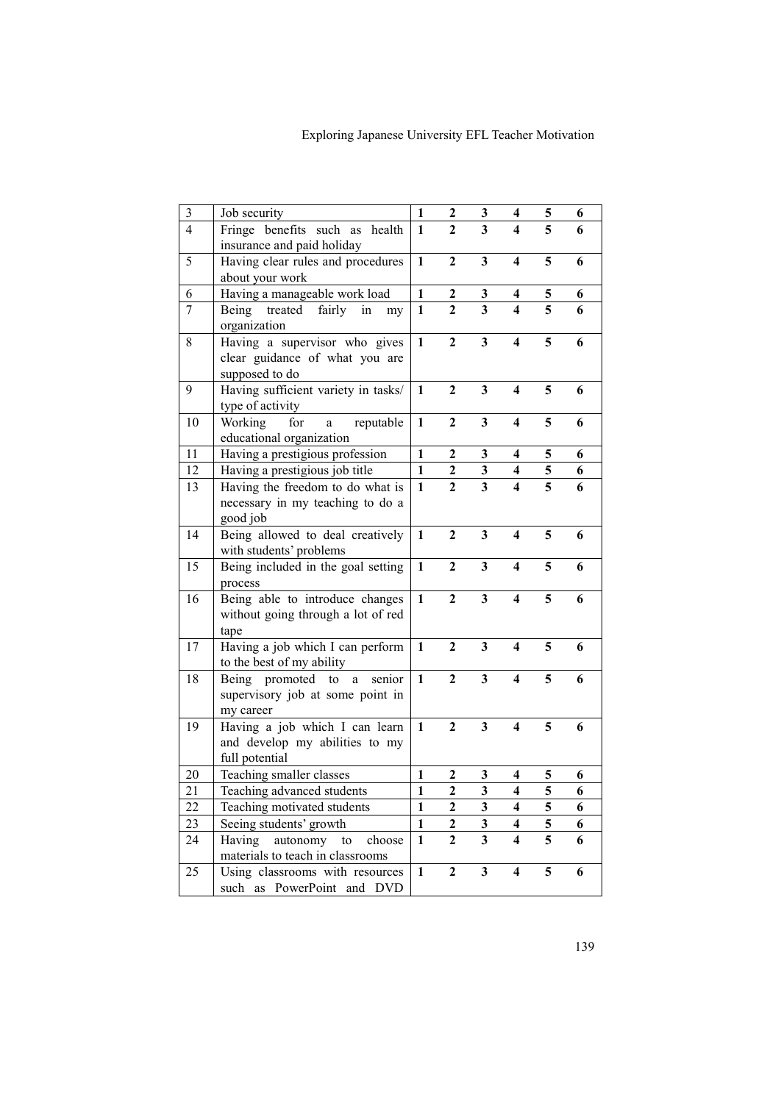| $\mathfrak{Z}$ | Job security                                | 1            | 2                | 3                       | 4                       | 5 | 6 |
|----------------|---------------------------------------------|--------------|------------------|-------------------------|-------------------------|---|---|
| $\overline{4}$ | Fringe benefits such as health              | 1            | $\mathbf{2}$     | 3                       | 4                       | 5 | 6 |
|                | insurance and paid holiday                  |              |                  |                         |                         |   |   |
| 5              | Having clear rules and procedures           | $\mathbf{1}$ | $\overline{2}$   | 3                       | 4                       | 5 | 6 |
|                | about your work                             |              |                  |                         |                         |   |   |
| 6              | Having a manageable work load               | $\mathbf{1}$ | $\boldsymbol{2}$ | $\mathbf{3}$            | 4                       | 5 | 6 |
| 7              | Being treated fairly in<br>my               | $\mathbf{1}$ | $\overline{2}$   | $\overline{\mathbf{3}}$ | 4                       | 5 | 6 |
|                | organization                                |              |                  |                         |                         |   |   |
| 8              | Having a supervisor who gives               | $\mathbf{1}$ | $\overline{2}$   | 3                       | $\overline{\mathbf{4}}$ | 5 | 6 |
|                | clear guidance of what you are              |              |                  |                         |                         |   |   |
|                | supposed to do                              |              |                  |                         |                         |   |   |
| 9              | Having sufficient variety in tasks/         | $\mathbf{1}$ | $\overline{2}$   | $\overline{\mathbf{3}}$ | $\overline{\mathbf{4}}$ | 5 | 6 |
|                | type of activity                            |              |                  |                         |                         |   |   |
| 10             | reputable<br>Working<br>for<br>$\mathbf{a}$ | $\mathbf{1}$ | $\boldsymbol{2}$ | 3                       | $\overline{\mathbf{4}}$ | 5 | 6 |
|                | educational organization                    |              |                  |                         |                         |   |   |
| 11             | Having a prestigious profession             | $\mathbf{1}$ | 2                | 3                       | 4                       | 5 | 6 |
| 12             | Having a prestigious job title              | $\mathbf{1}$ | $\boldsymbol{2}$ | 3                       | 4                       | 5 | 6 |
| 13             | Having the freedom to do what is            | $\mathbf{1}$ | $\boldsymbol{2}$ | $\overline{\mathbf{3}}$ | $\overline{\mathbf{4}}$ | 5 | 6 |
|                | necessary in my teaching to do a            |              |                  |                         |                         |   |   |
|                | good job                                    |              |                  |                         |                         |   |   |
| 14             | Being allowed to deal creatively            | $\mathbf{1}$ | $\boldsymbol{2}$ | 3                       | $\overline{\mathbf{4}}$ | 5 | 6 |
|                | with students' problems                     |              |                  |                         |                         |   |   |
| 15             | Being included in the goal setting          | 1            | $\mathbf{2}$     | 3                       | 4                       | 5 | 6 |
|                | process                                     |              |                  |                         |                         |   |   |
| 16             | Being able to introduce changes             | $\mathbf{1}$ | $\boldsymbol{2}$ | $\overline{\mathbf{3}}$ | $\overline{\mathbf{4}}$ | 5 | 6 |
|                | without going through a lot of red          |              |                  |                         |                         |   |   |
|                | tape                                        |              |                  |                         |                         |   |   |
| 17             | Having a job which I can perform            | $\mathbf{1}$ | $\overline{2}$   | $\mathbf{3}$            | $\overline{\mathbf{4}}$ | 5 | 6 |
|                | to the best of my ability                   |              |                  |                         |                         |   |   |
| 18             | Being promoted to<br>$\mathbf{a}$<br>senior | $\mathbf{1}$ | $\overline{2}$   | $\mathbf{3}$            | $\overline{\mathbf{4}}$ | 5 | 6 |
|                | supervisory job at some point in            |              |                  |                         |                         |   |   |
|                | my career                                   |              |                  |                         |                         |   |   |
| 19             | Having a job which I can learn              | $\mathbf{1}$ | $\mathbf{2}$     | $\overline{\mathbf{3}}$ | 4                       | 5 | 6 |
|                | and develop my abilities to my              |              |                  |                         |                         |   |   |
|                | full potential                              |              |                  |                         |                         |   |   |
| 20             | Teaching smaller classes                    | 1            | 2                | 3                       | 4                       | 5 | 6 |
| 21             | Teaching advanced students                  | $\mathbf{1}$ | $\overline{2}$   | 3                       | $\overline{\mathbf{4}}$ | 5 | 6 |
| 22             | Teaching motivated students                 | $\mathbf{1}$ | $\mathbf{2}$     | 3                       | $\overline{\mathbf{4}}$ | 5 | 6 |
| 23             | Seeing students' growth                     | $\mathbf{1}$ | $\overline{2}$   | $\overline{\mathbf{3}}$ | $\overline{\mathbf{4}}$ | 5 | 6 |
| 24             | Having<br>autonomy to<br>choose             | $\mathbf{1}$ | $\overline{2}$   | $\overline{\mathbf{3}}$ | $\overline{\mathbf{4}}$ | 5 | 6 |
|                | materials to teach in classrooms            |              |                  |                         |                         |   |   |
| 25             | Using classrooms with resources             | $\mathbf{1}$ | $\boldsymbol{2}$ | $\overline{\mathbf{3}}$ | 4                       | 5 | 6 |
|                | such as PowerPoint and DVD                  |              |                  |                         |                         |   |   |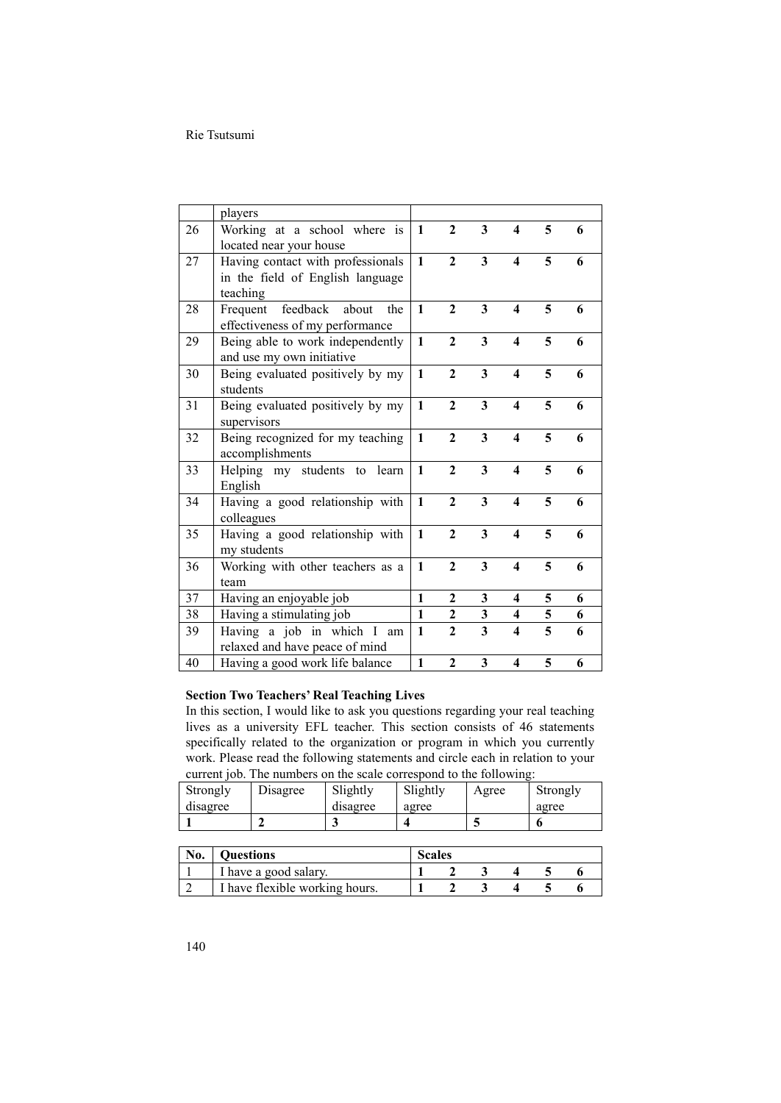|    | players                                                                           |              |                |                         |                         |                         |   |
|----|-----------------------------------------------------------------------------------|--------------|----------------|-------------------------|-------------------------|-------------------------|---|
| 26 | Working at a school where is<br>located near your house                           | $\mathbf{1}$ | $\overline{2}$ | 3                       | 4                       | 5                       | 6 |
| 27 | Having contact with professionals<br>in the field of English language<br>teaching | $\mathbf{1}$ | $\mathbf{2}$   | 3                       | 4                       | 5                       | 6 |
| 28 | feedback<br>about<br>the<br>Frequent<br>effectiveness of my performance           | $\mathbf{1}$ | $\overline{2}$ | $\overline{\mathbf{3}}$ | $\overline{\mathbf{4}}$ | 5                       | 6 |
| 29 | Being able to work independently<br>and use my own initiative                     | $\mathbf{1}$ | $\overline{2}$ | 3                       | $\overline{\mathbf{4}}$ | 5                       | 6 |
| 30 | Being evaluated positively by my<br>students                                      | $\mathbf{1}$ | $\mathbf{2}$   | $\overline{\mathbf{3}}$ | $\overline{\mathbf{4}}$ | 5                       | 6 |
| 31 | Being evaluated positively by my<br>supervisors                                   | $\mathbf{1}$ | $\mathbf{2}$   | 3                       | $\overline{\mathbf{4}}$ | 5                       | 6 |
| 32 | Being recognized for my teaching<br>accomplishments                               | $\mathbf{1}$ | $\overline{2}$ | 3                       | $\overline{\mathbf{4}}$ | 5                       | 6 |
| 33 | Helping my students to learn<br>English                                           | $\mathbf{1}$ | $\mathbf{2}$   | $\overline{\mathbf{3}}$ | $\overline{\mathbf{4}}$ | 5                       | 6 |
| 34 | Having a good relationship with<br>colleagues                                     | $\mathbf{1}$ | $\mathbf{2}$   | 3                       | $\overline{\mathbf{4}}$ | 5                       | 6 |
| 35 | Having a good relationship with<br>my students                                    | $\mathbf{1}$ | $\mathbf{2}$   | 3                       | $\overline{\mathbf{4}}$ | 5                       | 6 |
| 36 | Working with other teachers as a<br>team                                          | $\mathbf{1}$ | $\overline{2}$ | 3                       | $\overline{\mathbf{4}}$ | 5                       | 6 |
| 37 | Having an enjoyable job                                                           | $\mathbf{1}$ | $\mathbf{2}$   | 3                       | 4                       | 5                       | 6 |
| 38 | Having a stimulating job                                                          | $\mathbf{1}$ | $\mathbf{2}$   | $\mathbf{3}$            | 4                       | 5                       | 6 |
| 39 | Having a job in which I am<br>relaxed and have peace of mind                      | $\mathbf{1}$ | $\overline{2}$ | $\overline{3}$          | $\overline{\mathbf{4}}$ | $\overline{\mathbf{5}}$ | 6 |
| 40 | Having a good work life balance                                                   | $\mathbf{1}$ | $\mathbf{2}$   | 3                       | $\overline{\mathbf{4}}$ | 5                       | 6 |

## **Section Two Teachers' Real Teaching Lives**

In this section, I would like to ask you questions regarding your real teaching lives as a university EFL teacher. This section consists of 46 statements specifically related to the organization or program in which you currently work. Please read the following statements and circle each in relation to your current job. The numbers on the scale correspond to the following:

| Strongly | Disagree | Slightly | Slightly | Agree | Strongly |
|----------|----------|----------|----------|-------|----------|
| disagree |          | disagree | agree    |       | agree    |
|          |          |          |          |       |          |

| No. | <b>Ouestions</b>               | Scales |  |  |  |
|-----|--------------------------------|--------|--|--|--|
|     | I have a good salary.          |        |  |  |  |
|     | I have flexible working hours. |        |  |  |  |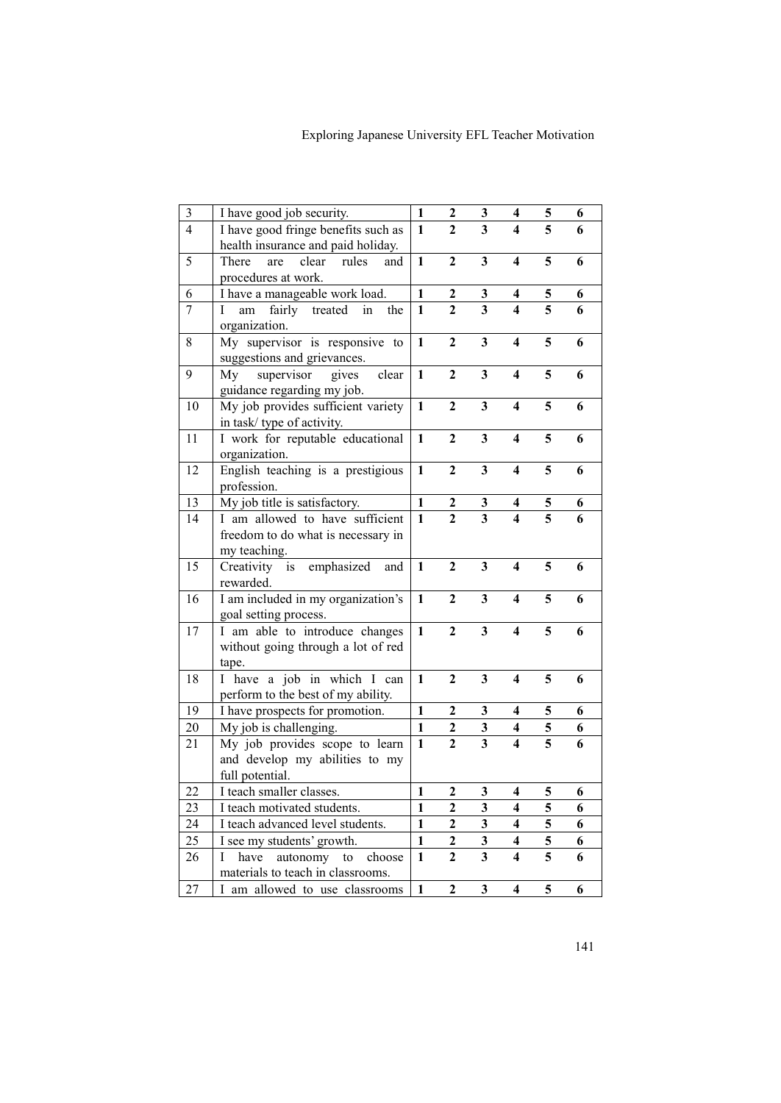| $\mathfrak{Z}$ | I have good job security.             | $\mathbf{1}$ | 2                | 3                            | 4                            | 5 | 6 |
|----------------|---------------------------------------|--------------|------------------|------------------------------|------------------------------|---|---|
| $\overline{4}$ | I have good fringe benefits such as   | $\mathbf{1}$ | $\mathbf{2}$     | 3                            | 4                            | 5 | 6 |
|                | health insurance and paid holiday.    |              |                  |                              |                              |   |   |
| 5              | There<br>clear<br>are<br>rules<br>and | 1            | $\mathbf{2}$     | 3                            | 4                            | 5 | 6 |
|                | procedures at work.                   |              |                  |                              |                              |   |   |
| 6              | I have a manageable work load.        | $\mathbf{1}$ | $\boldsymbol{2}$ | $\boldsymbol{3}$             | 4                            | 5 | 6 |
| $\tau$         | am fairly treated in<br>L<br>the      | $\mathbf{1}$ | $\overline{2}$   | $\overline{\mathbf{3}}$      | 4                            | 5 | 6 |
|                | organization.                         |              |                  |                              |                              |   |   |
| 8              | My supervisor is responsive to        | $\mathbf{1}$ | $\mathbf{2}$     | 3                            | 4                            | 5 | 6 |
|                | suggestions and grievances.           |              |                  |                              |                              |   |   |
| 9              | supervisor<br>clear<br>My<br>gives    | $\mathbf{1}$ | $\overline{2}$   | $\mathbf{3}$                 | 4                            | 5 | 6 |
|                | guidance regarding my job.            |              |                  |                              |                              |   |   |
| 10             | My job provides sufficient variety    | $\mathbf{1}$ | $\overline{2}$   | $\overline{\mathbf{3}}$      | 4                            | 5 | 6 |
|                | in task/ type of activity.            |              |                  |                              |                              |   |   |
| 11             | I work for reputable educational      | $\mathbf{1}$ | $\boldsymbol{2}$ | 3                            | $\overline{\mathbf{4}}$      | 5 | 6 |
|                |                                       |              |                  |                              |                              |   |   |
|                | organization.                         |              |                  | $\overline{\mathbf{3}}$      | $\overline{\mathbf{4}}$      | 5 |   |
| 12             | English teaching is a prestigious     | $\mathbf{1}$ | $\boldsymbol{2}$ |                              |                              |   | 6 |
|                | profession.                           |              |                  |                              |                              |   |   |
| 13             | My job title is satisfactory.         | $\mathbf{1}$ | $\boldsymbol{2}$ | 3<br>$\overline{\mathbf{3}}$ | 4<br>$\overline{\mathbf{4}}$ | 5 | 6 |
| 14             | I am allowed to have sufficient       | $\mathbf{1}$ | $\overline{2}$   |                              |                              | 5 | 6 |
|                | freedom to do what is necessary in    |              |                  |                              |                              |   |   |
|                | my teaching.                          |              |                  |                              |                              |   |   |
| 15             | Creativity is emphasized<br>and       | $\mathbf{1}$ | $\boldsymbol{2}$ | 3                            | $\overline{\mathbf{4}}$      | 5 | 6 |
|                | rewarded.                             |              |                  |                              |                              |   |   |
| 16             | I am included in my organization's    | $\mathbf{1}$ | $\boldsymbol{2}$ | 3                            | $\overline{\mathbf{4}}$      | 5 | 6 |
|                | goal setting process.                 |              |                  |                              |                              |   |   |
| 17             | I am able to introduce changes        | $\mathbf{1}$ | $\boldsymbol{2}$ | 3                            | $\overline{\mathbf{4}}$      | 5 | 6 |
|                | without going through a lot of red    |              |                  |                              |                              |   |   |
|                | tape.                                 |              |                  |                              |                              |   |   |
| 18             | I have a job in which I can           | $\mathbf{1}$ | $\boldsymbol{2}$ | 3                            | $\overline{\mathbf{4}}$      | 5 | 6 |
|                | perform to the best of my ability.    |              |                  |                              |                              |   |   |
| 19             | I have prospects for promotion.       | $\mathbf{1}$ | $\boldsymbol{2}$ | $\mathbf{3}$                 | $\overline{\mathbf{4}}$      | 5 | 6 |
| 20             | My job is challenging.                | $\mathbf{1}$ | $\boldsymbol{2}$ | 3                            | $\overline{\mathbf{4}}$      | 5 | 6 |
| 21             | My job provides scope to learn        | $\mathbf{1}$ | $\mathbf{2}$     | $\overline{\mathbf{3}}$      | $\overline{\mathbf{4}}$      | 5 | 6 |
|                | and develop my abilities to my        |              |                  |                              |                              |   |   |
|                | full potential.                       |              |                  |                              |                              |   |   |
| 22             | I teach smaller classes.              | $\mathbf{1}$ | $\mathbf{2}$     | 3                            | $\overline{\mathbf{4}}$      | 5 | 6 |
| 23             | I teach motivated students.           | $\mathbf{1}$ | 2                | 3                            | 4                            | 5 | 6 |
| 24             | I teach advanced level students.      | $\mathbf{1}$ | $\overline{2}$   | $\overline{\mathbf{3}}$      | $\overline{\mathbf{4}}$      | 5 | 6 |
| 25             | I see my students' growth.            | $\mathbf{1}$ | $\boldsymbol{2}$ | 3                            | $\overline{\mathbf{4}}$      | 5 | 6 |
| 26             | have<br>autonomy<br>choose<br>Ι<br>to | $\mathbf{1}$ | $\mathbf{2}$     | $\overline{\mathbf{3}}$      | $\overline{\mathbf{4}}$      | 5 | 6 |
|                | materials to teach in classrooms.     |              |                  |                              |                              |   |   |
|                |                                       | $\mathbf{1}$ | $\mathbf{2}$     | 3                            | $\overline{\mathbf{4}}$      | 5 | 6 |
| 27             | I am allowed to use classrooms        |              |                  |                              |                              |   |   |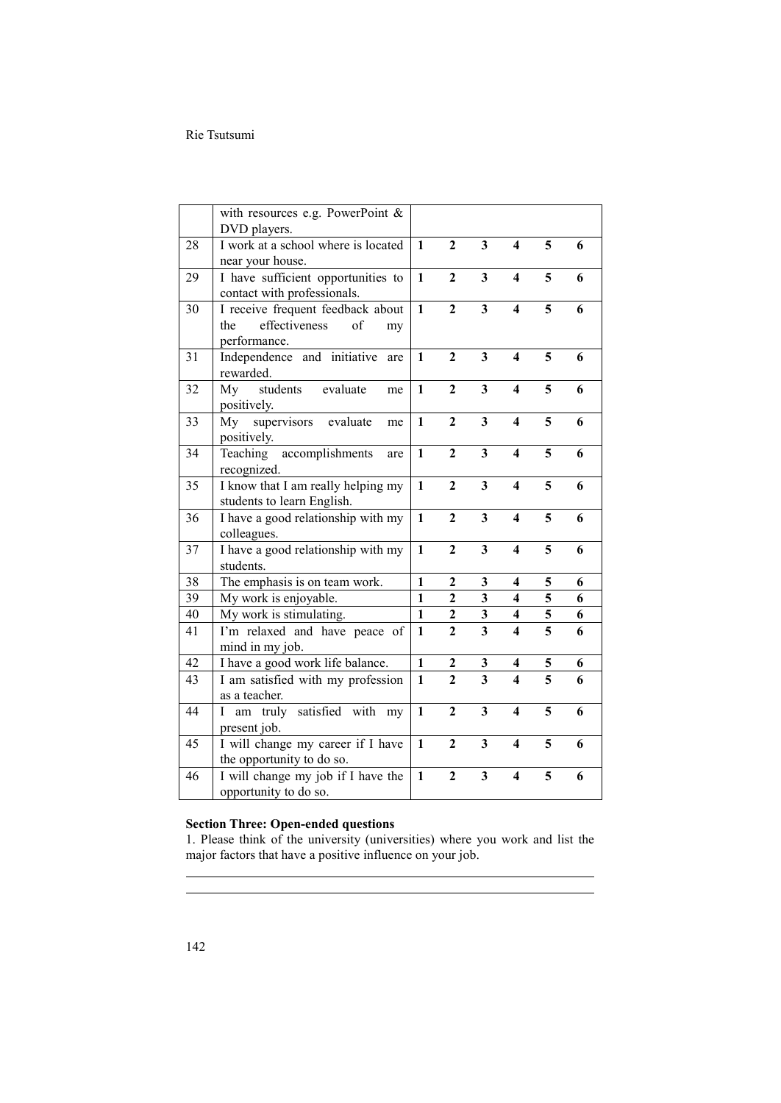|    | with resources e.g. PowerPoint $\&$                 |              |                         |                         |                         |                         |   |
|----|-----------------------------------------------------|--------------|-------------------------|-------------------------|-------------------------|-------------------------|---|
| 28 | DVD players.<br>I work at a school where is located | $\mathbf{1}$ | $\overline{2}$          | $\mathbf{3}$            | $\overline{\mathbf{4}}$ | 5                       |   |
|    | near your house.                                    |              |                         |                         |                         |                         | 6 |
| 29 | I have sufficient opportunities to                  | $\mathbf{1}$ | $\overline{2}$          | $\overline{\mathbf{3}}$ | $\overline{\mathbf{4}}$ | 5                       | 6 |
|    | contact with professionals.                         |              |                         |                         |                         |                         |   |
| 30 | I receive frequent feedback about                   | $\mathbf{1}$ | $\overline{2}$          | $\overline{\mathbf{3}}$ | 4                       | 5                       | 6 |
|    | effectiveness<br>the<br>of<br>my                    |              |                         |                         |                         |                         |   |
|    | performance.                                        |              |                         |                         |                         |                         |   |
| 31 | Independence and initiative<br>are                  | $\mathbf{1}$ | $\overline{2}$          | $\mathbf{3}$            | $\overline{\mathbf{4}}$ | 5                       | 6 |
|    | rewarded.                                           |              |                         |                         |                         |                         |   |
| 32 | My<br>evaluate<br>students<br>me                    | $\mathbf{1}$ | $\overline{2}$          | $\mathbf{3}$            | $\overline{\mathbf{4}}$ | 5                       | 6 |
|    | positively.                                         |              |                         |                         |                         |                         |   |
| 33 | supervisors evaluate<br>My<br>me                    | $\mathbf{1}$ | $\boldsymbol{2}$        | $\mathbf{3}$            | $\overline{\mathbf{4}}$ | 5                       | 6 |
|    | positively.                                         |              |                         |                         |                         |                         |   |
| 34 | accomplishments<br>Teaching<br>are                  | $\mathbf{1}$ | $\boldsymbol{2}$        | 3                       | $\overline{\mathbf{4}}$ | 5                       | 6 |
|    | recognized.                                         |              |                         |                         |                         |                         |   |
| 35 | I know that I am really helping my                  | $\mathbf{1}$ | $\overline{2}$          | 3                       | $\overline{\mathbf{4}}$ | 5                       | 6 |
|    | students to learn English.                          |              |                         |                         |                         |                         |   |
| 36 | I have a good relationship with my                  | $\mathbf{1}$ | $\overline{2}$          | $\overline{\mathbf{3}}$ | $\overline{\mathbf{4}}$ | 5                       | 6 |
|    | colleagues.                                         |              |                         |                         |                         |                         |   |
| 37 | I have a good relationship with my                  | $\mathbf{1}$ | $\overline{2}$          | $\overline{\mathbf{3}}$ | $\overline{\mathbf{4}}$ | 5                       | 6 |
|    | students.                                           |              |                         |                         |                         |                         |   |
| 38 | The emphasis is on team work.                       | 1            | 2                       | 3                       | 4                       | 5                       | 6 |
| 39 | My work is enjoyable.                               | 1            | $\boldsymbol{2}$        | $\mathbf{3}$            | $\overline{\mathbf{4}}$ | 5                       | 6 |
| 40 | My work is stimulating.                             | $\mathbf{1}$ | $\overline{\mathbf{c}}$ | $\mathbf{3}$            | 4                       | 5                       | 6 |
| 41 | I'm relaxed and have peace of                       | $\mathbf{1}$ | $\overline{2}$          | $\overline{\mathbf{3}}$ | $\overline{\mathbf{4}}$ | $\overline{\mathbf{5}}$ | 6 |
|    | mind in my job.                                     |              |                         |                         |                         |                         |   |
| 42 | I have a good work life balance.                    | $\mathbf{1}$ | $\boldsymbol{2}$        | $\mathbf{3}$            | 4                       | 5                       | 6 |
| 43 | I am satisfied with my profession                   | $\mathbf{1}$ | $\overline{2}$          | $\overline{\mathbf{3}}$ | $\overline{\mathbf{4}}$ | 5                       | 6 |
|    | as a teacher.                                       |              |                         |                         |                         |                         |   |
| 44 | I am truly satisfied with my                        | $\mathbf{1}$ | $\overline{2}$          | $\overline{\mathbf{3}}$ | $\overline{\mathbf{4}}$ | 5                       | 6 |
|    | present job.                                        |              |                         |                         |                         |                         |   |
| 45 | I will change my career if I have                   | $\mathbf{1}$ | $\overline{2}$          | $\overline{\mathbf{3}}$ | $\overline{\mathbf{4}}$ | 5                       | 6 |
|    | the opportunity to do so.                           |              |                         |                         |                         |                         |   |
| 46 | I will change my job if I have the                  | $\mathbf{1}$ | $\mathbf{2}$            | $\overline{\mathbf{3}}$ | $\overline{\mathbf{4}}$ | 5                       | 6 |
|    | opportunity to do so.                               |              |                         |                         |                         |                         |   |

### **Section Three: Open-ended questions**

1. Please think of the university (universities) where you work and list the major factors that have a positive influence on your job.

 $\overline{\phantom{a}}$  $\overline{a}$